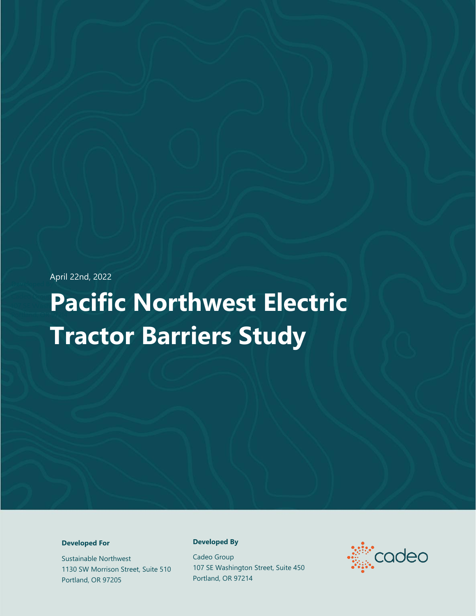April 22nd, 2022

# **Pacific Northwest Electric Tractor Barriers Study**

#### **Developed For**

Sustainable Northwest 1130 SW Morrison Street, Suite 510 Portland, OR 97205

#### **Developed By**

Cadeo Group 107 SE Washington Street, Suite 450 Portland, OR 97214

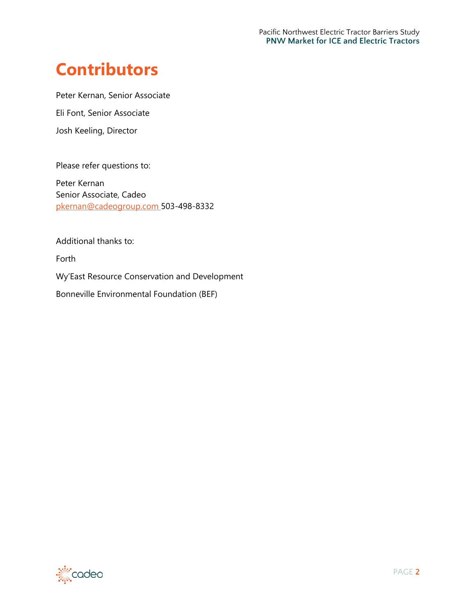# **Contributors**

Peter Kernan, Senior Associate

Eli Font, Senior Associate

Josh Keeling, Director

Please refer questions to:

Peter Kernan Senior Associate, Cadeo pkernan@cadeogroup.com 503-498-8332

Additional thanks to:

Forth

Wy'East Resource Conservation and Development

Bonneville Environmental Foundation (BEF)

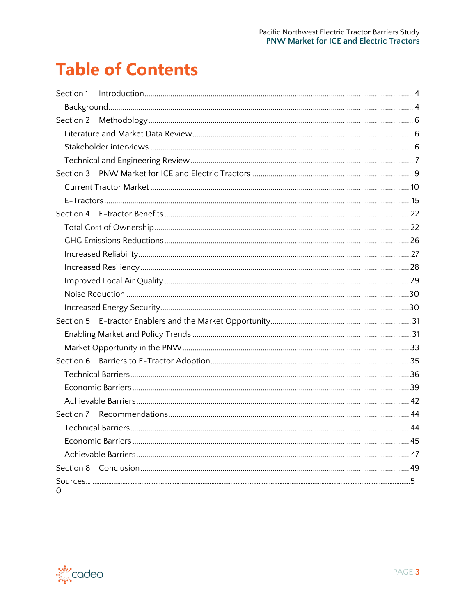# **Table of Contents**

| Section 2 |  |
|-----------|--|
|           |  |
|           |  |
|           |  |
|           |  |
|           |  |
|           |  |
|           |  |
|           |  |
|           |  |
|           |  |
|           |  |
|           |  |
|           |  |
|           |  |
|           |  |
|           |  |
|           |  |
|           |  |
|           |  |
|           |  |
|           |  |
|           |  |
|           |  |
|           |  |
|           |  |
|           |  |
| Ω         |  |

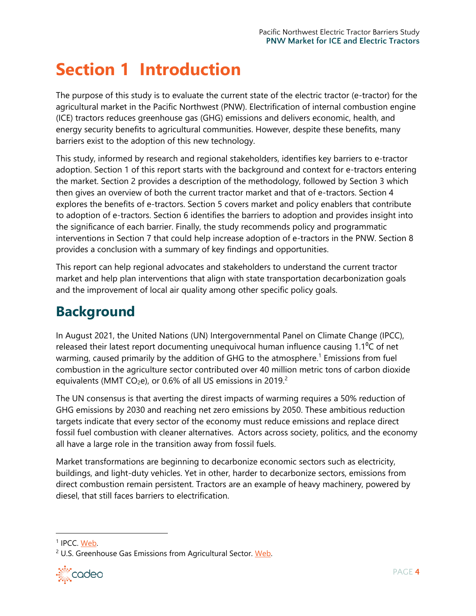# <span id="page-3-0"></span>**Section 1 Introduction**

The purpose of this study is to evaluate the current state of the electric tractor (e-tractor) for the agricultural market in the Pacific Northwest (PNW). Electrification of internal combustion engine (ICE) tractors reduces greenhouse gas (GHG) emissions and delivers economic, health, and energy security benefits to agricultural communities. However, despite these benefits, many barriers exist to the adoption of this new technology.

This study, informed by research and regional stakeholders, identifies key barriers to e-tractor adoption. Section 1 of this report starts with the background and context for e-tractors entering the market. Section 2 provides a description of the methodology, followed by Section 3 which then gives an overview of both the current tractor market and that of e-tractors. Section 4 explores the benefits of e-tractors. Section 5 covers market and policy enablers that contribute to adoption of e-tractors. Section 6 identifies the barriers to adoption and provides insight into the significance of each barrier. Finally, the study recommends policy and programmatic interventions in Section 7 that could help increase adoption of e-tractors in the PNW. Section 8 provides a conclusion with a summary of key findings and opportunities.

This report can help regional advocates and stakeholders to understand the current tractor market and help plan interventions that align with state transportation decarbonization goals and the improvement of local air quality among other specific policy goals.

# <span id="page-3-1"></span>**Background**

In August 2021, the United Nations (UN) Intergovernmental Panel on Climate Change (IPCC), released their latest report documenting unequivocal human influence causing 1.1<sup>o</sup>C of net warming, caused primarily by the addition of GHG to the atmosphere.<sup>1</sup> Emissions from fuel combustion in the agriculture sector contributed over 40 million metric tons of carbon dioxide equivalents (MMT CO<sub>2</sub>e), or 0.6% of all US emissions in 2019.<sup>2</sup>

The UN consensus is that averting the direst impacts of warming requires a 50% reduction of GHG emissions by 2030 and reaching net zero emissions by 2050. These ambitious reduction targets indicate that every sector of the economy must reduce emissions and replace direct fossil fuel combustion with cleaner alternatives. Actors across society, politics, and the economy all have a large role in the transition away from fossil fuels.

Market transformations are beginning to decarbonize economic sectors such as electricity, buildings, and light-duty vehicles. Yet in other, harder to decarbonize sectors, emissions from direct combustion remain persistent. Tractors are an example of heavy machinery, powered by diesel, that still faces barriers to electrification.

<sup>&</sup>lt;sup>2</sup> U.S. Greenhouse Gas Emissions from Agricultural Sector. [Web.](https://cfpub.epa.gov/ghgdata/inventoryexplorer/#agriculture/entiresector/allgas/category/all)



<sup>&</sup>lt;sup>1</sup> IPCC. [Web.](https://www.ipcc.ch/report/ar6/wg1/)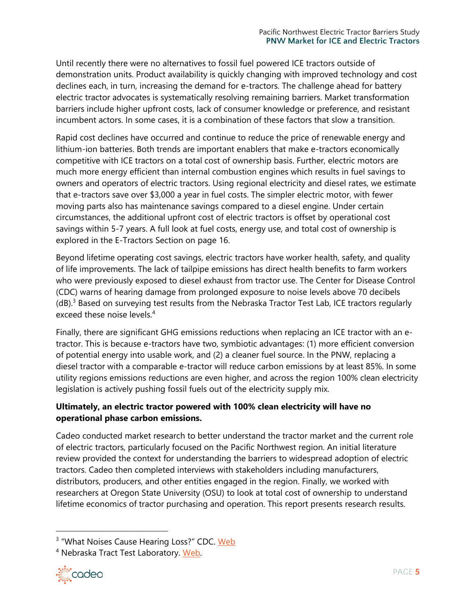Until recently there were no alternatives to fossil fuel powered ICE tractors outside of demonstration units. Product availability is quickly changing with improved technology and cost declines each, in turn, increasing the demand for e-tractors. The challenge ahead for battery electric tractor advocates is systematically resolving remaining barriers. Market transformation barriers include higher upfront costs, lack of consumer knowledge or preference, and resistant incumbent actors. In some cases, it is a combination of these factors that slow a transition.

Rapid cost declines have occurred and continue to reduce the price of renewable energy and lithium-ion batteries. Both trends are important enablers that make e-tractors economically competitive with ICE tractors on a total cost of ownership basis. Further, electric motors are much more energy efficient than internal combustion engines which results in fuel savings to owners and operators of electric tractors. Using regional electricity and diesel rates, we estimate that e-tractors save over \$3,000 a year in fuel costs. The simpler electric motor, with fewer moving parts also has maintenance savings compared to a diesel engine. Under certain circumstances, the additional upfront cost of electric tractors is offset by operational cost savings within 5-7 years. A full look at fuel costs, energy use, and total cost of ownership is explored in the [E-Tractors](#page-14-0) Section on page 16.

Beyond lifetime operating cost savings, electric tractors have worker health, safety, and quality of life improvements. The lack of tailpipe emissions has direct health benefits to farm workers who were previously exposed to diesel exhaust from tractor use. The Center for Disease Control (CDC) warns of hearing damage from prolonged exposure to noise levels above 70 decibels  $(d)$ .<sup>3</sup> Based on surveying test results from the Nebraska Tractor Test Lab, ICE tractors regularly exceed these noise levels.<sup>4</sup>

Finally, there are significant GHG emissions reductions when replacing an ICE tractor with an etractor. This is because e-tractors have two, symbiotic advantages: (1) more efficient conversion of potential energy into usable work, and (2) a cleaner fuel source. In the PNW, replacing a diesel tractor with a comparable e-tractor will reduce carbon emissions by at least 85%. In some utility regions emissions reductions are even higher, and across the region 100% clean electricity legislation is actively pushing fossil fuels out of the electricity supply mix.

## **Ultimately, an electric tractor powered with 100% clean electricity will have no operational phase carbon emissions.**

Cadeo conducted market research to better understand the tractor market and the current role of electric tractors, particularly focused on the Pacific Northwest region. An initial literature review provided the context for understanding the barriers to widespread adoption of electric tractors. Cadeo then completed interviews with stakeholders including manufacturers, distributors, producers, and other entities engaged in the region. Finally, we worked with researchers at Oregon State University (OSU) to look at total cost of ownership to understand lifetime economics of tractor purchasing and operation. This report presents research results.

<sup>4</sup> Nebraska Tract Test Laboratory. [Web.](https://tractortestlab.unl.edu/test-page-nttl)



<sup>&</sup>lt;sup>3</sup> "What Noises Cause Hearing Loss?" CDC. [Web](https://www.cdc.gov/nceh/hearing_loss/what_noises_cause_hearing_loss.html)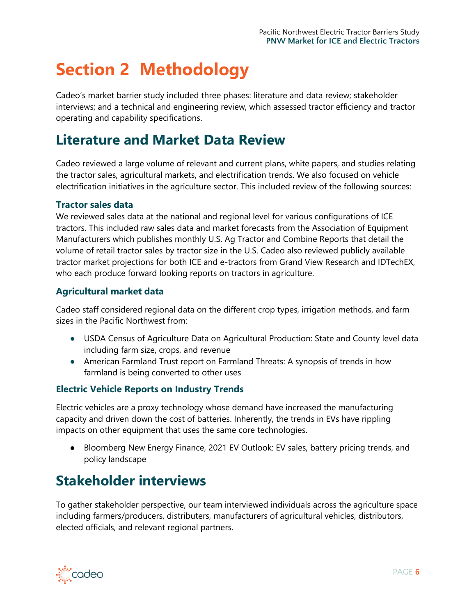# <span id="page-5-0"></span>**Section 2 Methodology**

Cadeo's market barrier study included three phases: literature and data review; stakeholder interviews; and a technical and engineering review, which assessed tractor efficiency and tractor operating and capability specifications.

# <span id="page-5-1"></span>**Literature and Market Data Review**

Cadeo reviewed a large volume of relevant and current plans, white papers, and studies relating the tractor sales, agricultural markets, and electrification trends. We also focused on vehicle electrification initiatives in the agriculture sector. This included review of the following sources:

### **Tractor sales data**

We reviewed sales data at the national and regional level for various configurations of ICE tractors. This included raw sales data and market forecasts from the Association of Equipment Manufacturers which publishes monthly U.S. Ag Tractor and Combine Reports that detail the volume of retail tractor sales by tractor size in the U.S. Cadeo also reviewed publicly available tractor market projections for both ICE and e-tractors from Grand View Research and IDTechEX, who each produce forward looking reports on tractors in agriculture.

### **Agricultural market data**

Cadeo staff considered regional data on the different crop types, irrigation methods, and farm sizes in the Pacific Northwest from:

- USDA Census of Agriculture Data on Agricultural Production: State and County level data including farm size, crops, and revenue
- American Farmland Trust report on Farmland Threats: A synopsis of trends in how farmland is being converted to other uses

### **Electric Vehicle Reports on Industry Trends**

Electric vehicles are a proxy technology whose demand have increased the manufacturing capacity and driven down the cost of batteries. Inherently, the trends in EVs have rippling impacts on other equipment that uses the same core technologies.

● Bloomberg New Energy Finance, 2021 EV Outlook: EV sales, battery pricing trends, and policy landscape

# <span id="page-5-2"></span>**Stakeholder interviews**

To gather stakeholder perspective, our team interviewed individuals across the agriculture space including farmers/producers, distributers, manufacturers of agricultural vehicles, distributors, elected officials, and relevant regional partners.

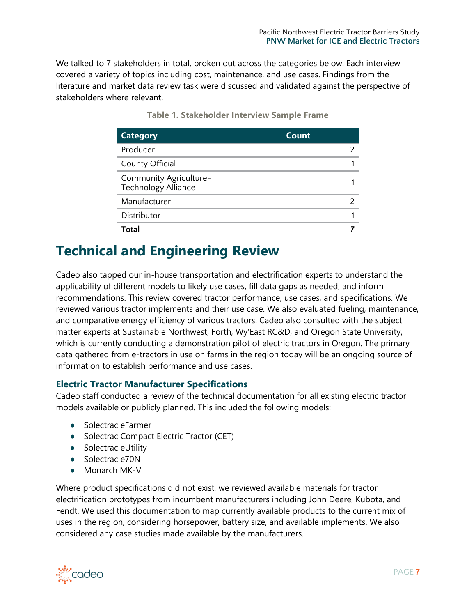We talked to 7 stakeholders in total, broken out across the categories below. Each interview covered a variety of topics including cost, maintenance, and use cases. Findings from the literature and market data review task were discussed and validated against the perspective of stakeholders where relevant.

| <b>Category</b>                                      | Count |
|------------------------------------------------------|-------|
| Producer                                             |       |
| County Official                                      |       |
| Community Agriculture-<br><b>Technology Alliance</b> |       |
| Manufacturer                                         |       |
| Distributor                                          |       |
| Total                                                |       |

**Table 1. Stakeholder Interview Sample Frame**

# <span id="page-6-0"></span>**Technical and Engineering Review**

Cadeo also tapped our in-house transportation and electrification experts to understand the applicability of different models to likely use cases, fill data gaps as needed, and inform recommendations. This review covered tractor performance, use cases, and specifications. We reviewed various tractor implements and their use case. We also evaluated fueling, maintenance, and comparative energy efficiency of various tractors. Cadeo also consulted with the subject matter experts at Sustainable Northwest, Forth, Wy'East RC&D, and Oregon State University, which is currently conducting a demonstration pilot of electric tractors in Oregon. The primary data gathered from e-tractors in use on farms in the region today will be an ongoing source of information to establish performance and use cases.

### **Electric Tractor Manufacturer Specifications**

Cadeo staff conducted a review of the technical documentation for all existing electric tractor models available or publicly planned. This included the following models:

- Solectrac eFarmer
- Solectrac Compact Electric Tractor (CET)
- Solectrac eUtility
- Solectrac e70N
- Monarch MK-V

Where product specifications did not exist, we reviewed available materials for tractor electrification prototypes from incumbent manufacturers including John Deere, Kubota, and Fendt. We used this documentation to map currently available products to the current mix of uses in the region, considering horsepower, battery size, and available implements. We also considered any case studies made available by the manufacturers.

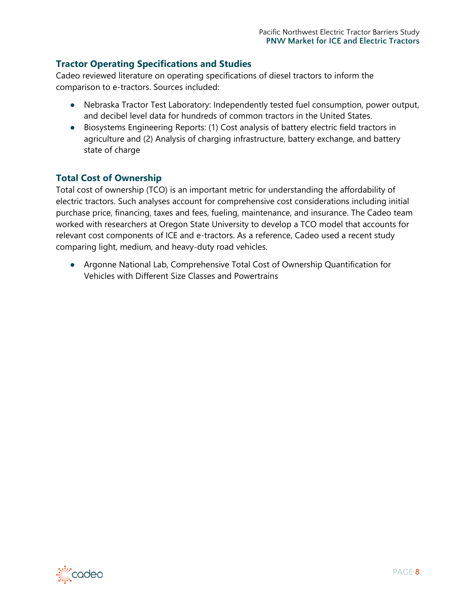## **Tractor Operating Specifications and Studies**

Cadeo reviewed literature on operating specifications of diesel tractors to inform the comparison to e-tractors. Sources included:

- Nebraska Tractor Test Laboratory: Independently tested fuel consumption, power output, and decibel level data for hundreds of common tractors in the United States.
- Biosystems Engineering Reports: (1) Cost analysis of battery electric field tractors in agriculture and (2) Analysis of charging infrastructure, battery exchange, and battery state of charge

## **Total Cost of Ownership**

Total cost of ownership (TCO) is an important metric for understanding the affordability of electric tractors. Such analyses account for comprehensive cost considerations including initial purchase price, financing, taxes and fees, fueling, maintenance, and insurance. The Cadeo team worked with researchers at Oregon State University to develop a TCO model that accounts for relevant cost components of ICE and e-tractors. As a reference, Cadeo used a recent study comparing light, medium, and heavy-duty road vehicles.

● Argonne National Lab, Comprehensive Total Cost of Ownership Quantification for Vehicles with Different Size Classes and Powertrains

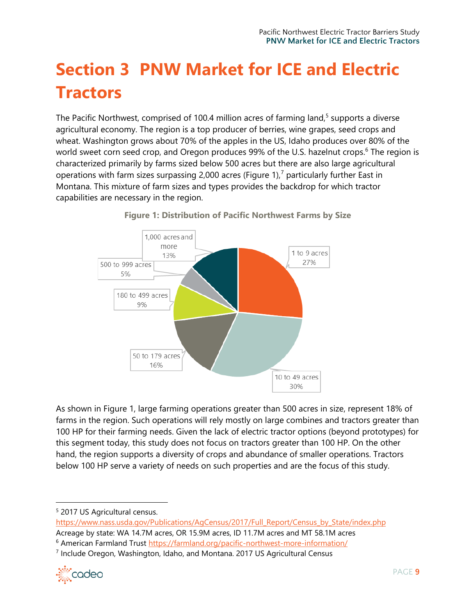# <span id="page-8-0"></span>**Section 3 PNW Market for ICE and Electric Tractors**

The Pacific Northwest, comprised of 100.4 million acres of farming land, $5$  supports a diverse agricultural economy. The region is a top producer of berries, wine grapes, seed crops and wheat. Washington grows about 70% of the apples in the US, Idaho produces over 80% of the world sweet corn seed crop, and Oregon produces 99% of the U.S. hazelnut crops.<sup>6</sup> The region is characterized primarily by farms sized below 500 acres but there are also large agricultural operations with farm sizes surpassing 2,000 acres (Figure 1),<sup>7</sup> particularly further East in Montana. This mixture of farm sizes and types provides the backdrop for which tractor capabilities are necessary in the region.



**Figure 1: Distribution of Pacific Northwest Farms by Size**

As shown in Figure 1, large farming operations greater than 500 acres in size, represent 18% of farms in the region. Such operations will rely mostly on large combines and tractors greater than 100 HP for their farming needs. Given the lack of electric tractor options (beyond prototypes) for this segment today, this study does not focus on tractors greater than 100 HP. On the other hand, the region supports a diversity of crops and abundance of smaller operations. Tractors below 100 HP serve a variety of needs on such properties and are the focus of this study.

<sup>7</sup> Include Oregon, Washington, Idaho, and Montana. 2017 US Agricultural Census



<sup>5</sup> 2017 US Agricultural census.

[https://www.nass.usda.gov/Publications/AgCensus/2017/Full\\_Report/Census\\_by\\_State/index.php](https://www.nass.usda.gov/Publications/AgCensus/2017/Full_Report/Census_by_State/index.php) Acreage by state: WA 14.7M acres, OR 15.9M acres, ID 11.7M acres and MT 58.1M acres

<sup>&</sup>lt;sup>6</sup> American Farmland Trust<https://farmland.org/pacific-northwest-more-information/>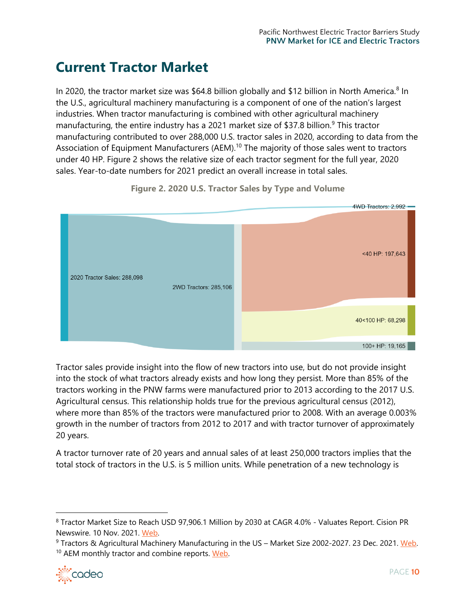# <span id="page-9-0"></span>**Current Tractor Market**

In 2020, the tractor market size was \$64.8 billion globally and \$12 billion in North America.<sup>8</sup> In the U.S., agricultural machinery manufacturing is a component of one of the nation's largest industries. When tractor manufacturing is combined with other agricultural machinery manufacturing, the entire industry has a 2021 market size of \$37.8 billion.<sup>9</sup> This tractor manufacturing contributed to over 288,000 U.S. tractor sales in 2020, according to data from the Association of Equipment Manufacturers (AEM).<sup>10</sup> The majority of those sales went to tractors under 40 HP. Figure 2 shows the relative size of each tractor segment for the full year, 2020 sales. Year-to-date numbers for 2021 predict an overall increase in total sales.



**Figure 2. 2020 U.S. Tractor Sales by Type and Volume**

Tractor sales provide insight into the flow of new tractors into use, but do not provide insight into the stock of what tractors already exists and how long they persist. More than 85% of the tractors working in the PNW farms were manufactured prior to 2013 according to the 2017 U.S. Agricultural census. This relationship holds true for the previous agricultural census (2012), where more than 85% of the tractors were manufactured prior to 2008. With an average 0.003% growth in the number of tractors from 2012 to 2017 and with tractor turnover of approximately 20 years.

A tractor turnover rate of 20 years and annual sales of at least 250,000 tractors implies that the total stock of tractors in the U.S. is 5 million units. While penetration of a new technology is

<sup>&</sup>lt;sup>9</sup> Tractors & Agricultural Machinery Manufacturing in the US – Market Size 2002-2027. 23 Dec. 2021. [Web.](https://www.ibisworld.com/industry-statistics/market-size/tractors-agricultural-machinery-manufacturing-united-states/) <sup>10</sup> AEM monthly tractor and combine reports. Web.



<sup>8</sup> Tractor Market Size to Reach USD 97,906.1 Million by 2030 at CAGR 4.0% - Valuates Report. Cision PR Newswire. 10 Nov. 2021. [Web.](https://www.prnewswire.com/in/news-releases/tractor-market-size-to-reach-usd-97-906-1-million-by-2030-at-cagr-4-0-valuates-reports-807864090.html)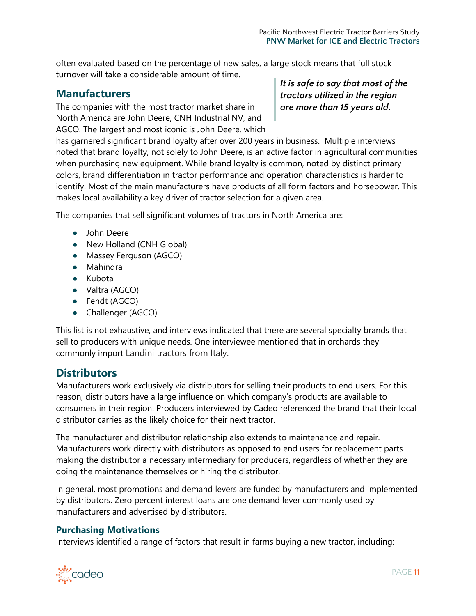often evaluated based on the percentage of new sales, a large stock means that full stock turnover will take a considerable amount of time.

## **Manufacturers**

The companies with the most tractor market share in North America are John Deere, CNH Industrial NV, and AGCO. The largest and most iconic is John Deere, which *It is safe to say that most of the tractors utilized in the region are more than 15 years old.* 

has garnered significant brand loyalty after over 200 years in business. Multiple interviews noted that brand loyalty, not solely to John Deere, is an active factor in agricultural communities when purchasing new equipment. While brand loyalty is common, noted by distinct primary colors, brand differentiation in tractor performance and operation characteristics is harder to identify. Most of the main manufacturers have products of all form factors and horsepower. This makes local availability a key driver of tractor selection for a given area.

The companies that sell significant volumes of tractors in North America are:

- John Deere
- New Holland (CNH Global)
- Massey Ferguson (AGCO)
- Mahindra
- Kubota
- Valtra (AGCO)
- Fendt (AGCO)
- Challenger (AGCO)

This list is not exhaustive, and interviews indicated that there are several specialty brands that sell to producers with unique needs. One interviewee mentioned that in orchards they commonly import Landini tractors from Italy.

# **Distributors**

Manufacturers work exclusively via distributors for selling their products to end users. For this reason, distributors have a large influence on which company's products are available to consumers in their region. Producers interviewed by Cadeo referenced the brand that their local distributor carries as the likely choice for their next tractor.

The manufacturer and distributor relationship also extends to maintenance and repair. Manufacturers work directly with distributors as opposed to end users for replacement parts making the distributor a necessary intermediary for producers, regardless of whether they are doing the maintenance themselves or hiring the distributor.

In general, most promotions and demand levers are funded by manufacturers and implemented by distributors. Zero percent interest loans are one demand lever commonly used by manufacturers and advertised by distributors.

### **Purchasing Motivations**

Interviews identified a range of factors that result in farms buying a new tractor, including:

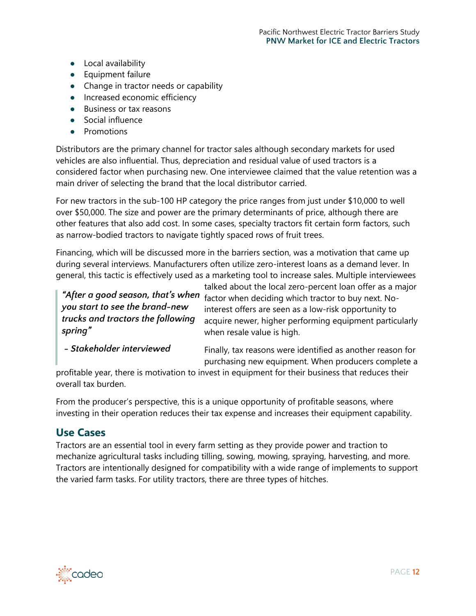- Local availability
- Equipment failure
- Change in tractor needs or capability
- Increased economic efficiency
- Business or tax reasons
- Social influence
- Promotions

Distributors are the primary channel for tractor sales although secondary markets for used vehicles are also influential. Thus, depreciation and residual value of used tractors is a considered factor when purchasing new. One interviewee claimed that the value retention was a main driver of selecting the brand that the local distributor carried.

For new tractors in the sub-100 HP category the price ranges from just under \$10,000 to well over \$50,000. The size and power are the primary determinants of price, although there are other features that also add cost. In some cases, specialty tractors fit certain form factors, such as narrow-bodied tractors to navigate tightly spaced rows of fruit trees.

Financing, which will be discussed more in the barriers section, was a motivation that came up during several interviews. Manufacturers often utilize zero-interest loans as a demand lever. In general, this tactic is effectively used as a marketing tool to increase sales. Multiple interviewees

*you start to see the brand-new trucks and tractors the following spring"*

talked about the local zero-percent loan offer as a major "After a good season, that's when **factor when deciding which tractor to buy** next. Nointerest offers are seen as a low-risk opportunity to acquire newer, higher performing equipment particularly when resale value is high.

*- Stakeholder interviewed*

Finally, tax reasons were identified as another reason for purchasing new equipment. When producers complete a

profitable year, there is motivation to invest in equipment for their business that reduces their overall tax burden.

From the producer's perspective, this is a unique opportunity of profitable seasons, where investing in their operation reduces their tax expense and increases their equipment capability.

## **Use Cases**

Tractors are an essential tool in every farm setting as they provide power and traction to mechanize agricultural tasks including tilling, sowing, mowing, spraying, harvesting, and more. Tractors are intentionally designed for compatibility with a wide range of implements to support the varied farm tasks. For utility tractors, there are three types of hitches.

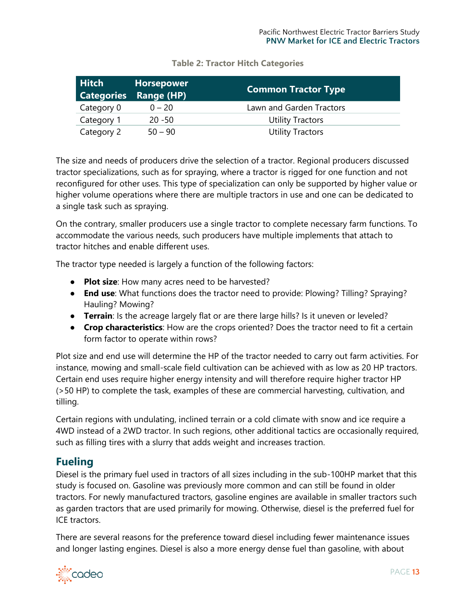| <b>Hitch</b> | <b>Horsepower</b><br><b>Categories Range (HP)</b> | <b>Common Tractor Type</b> |
|--------------|---------------------------------------------------|----------------------------|
| Category 0   | $0 - 20$                                          | Lawn and Garden Tractors   |
| Category 1   | $20 - 50$                                         | <b>Utility Tractors</b>    |
| Category 2   | $50 - 90$                                         | <b>Utility Tractors</b>    |

### **Table 2: Tractor Hitch Categories**

The size and needs of producers drive the selection of a tractor. Regional producers discussed tractor specializations, such as for spraying, where a tractor is rigged for one function and not reconfigured for other uses. This type of specialization can only be supported by higher value or higher volume operations where there are multiple tractors in use and one can be dedicated to a single task such as spraying.

On the contrary, smaller producers use a single tractor to complete necessary farm functions. To accommodate the various needs, such producers have multiple implements that attach to tractor hitches and enable different uses.

The tractor type needed is largely a function of the following factors:

- **Plot size**: How many acres need to be harvested?
- **End use**: What functions does the tractor need to provide: Plowing? Tilling? Spraying? Hauling? Mowing?
- **Terrain**: Is the acreage largely flat or are there large hills? Is it uneven or leveled?
- **Crop characteristics**: How are the crops oriented? Does the tractor need to fit a certain form factor to operate within rows?

Plot size and end use will determine the HP of the tractor needed to carry out farm activities. For instance, mowing and small-scale field cultivation can be achieved with as low as 20 HP tractors. Certain end uses require higher energy intensity and will therefore require higher tractor HP (>50 HP) to complete the task, examples of these are commercial harvesting, cultivation, and tilling.

Certain regions with undulating, inclined terrain or a cold climate with snow and ice require a 4WD instead of a 2WD tractor. In such regions, other additional tactics are occasionally required, such as filling tires with a slurry that adds weight and increases traction.

# **Fueling**

Diesel is the primary fuel used in tractors of all sizes including in the sub-100HP market that this study is focused on. Gasoline was previously more common and can still be found in older tractors. For newly manufactured tractors, gasoline engines are available in smaller tractors such as garden tractors that are used primarily for mowing. Otherwise, diesel is the preferred fuel for ICE tractors.

There are several reasons for the preference toward diesel including fewer maintenance issues and longer lasting engines. Diesel is also a more energy dense fuel than gasoline, with about

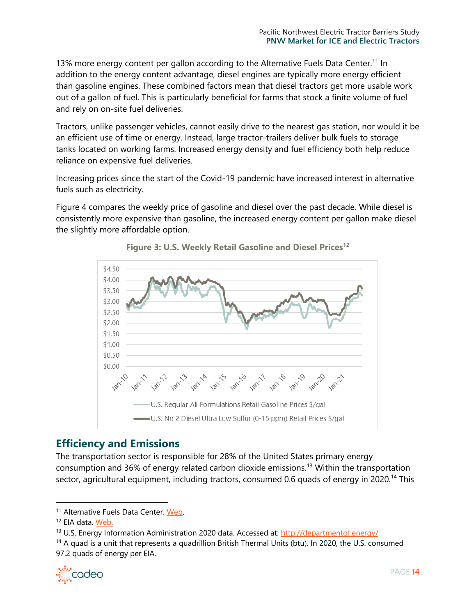13% more energy content per gallon according to the Alternative Fuels Data Center.<sup>11</sup> In addition to the energy content advantage, diesel engines are typically more energy efficient than gasoline engines. These combined factors mean that diesel tractors get more usable work out of a gallon of fuel. This is particularly beneficial for farms that stock a finite volume of fuel and rely on on-site fuel deliveries.

Tractors, unlike passenger vehicles, cannot easily drive to the nearest gas station, nor would it be an efficient use of time or energy. Instead, large tractor-trailers deliver bulk fuels to storage tanks located on working farms. Increased energy density and fuel efficiency both help reduce reliance on expensive fuel deliveries.

Increasing prices since the start of the Covid-19 pandemic have increased interest in alternative fuels such as electricity.

Figure 4 compares the weekly price of gasoline and diesel over the past decade. While diesel is consistently more expensive than gasoline, the increased energy content per gallon make diesel the slightly more affordable option.





# **Efficiency and Emissions**

The transportation sector is responsible for 28% of the United States primary energy consumption and 36% of energy related carbon dioxide emissions.<sup>13</sup> Within the transportation sector, agricultural equipment, including tractors, consumed 0.6 quads of energy in 2020.<sup>14</sup> This

<sup>&</sup>lt;sup>14</sup> A quad is a unit that represents a quadrillion British Thermal Units (btu). In 2020, the U.S. consumed 97.2 quads of energy per EIA.



<sup>&</sup>lt;sup>11</sup> Alternative Fuels Data Center. [Web.](https://afdc.energy.gov/files/u/publication/fuel_comparison_chart.pdf)

<sup>&</sup>lt;sup>12</sup> EIA data. [Web.](https://www.eia.gov/dnav/pet/PET_PRI_GND_DCUS_NUS_W.htm)

<sup>13</sup> U.S. Energy Information Administration 2020 data. Accessed at:<http://departmentof.energy/>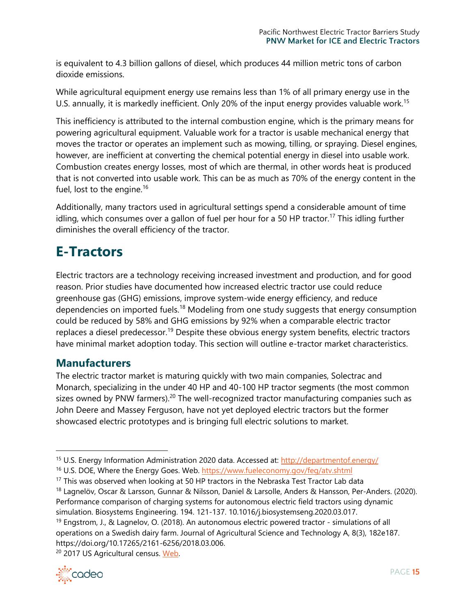is equivalent to 4.3 billion gallons of diesel, which produces 44 million metric tons of carbon dioxide emissions.

While agricultural equipment energy use remains less than 1% of all primary energy use in the U.S. annually, it is markedly inefficient. Only 20% of the input energy provides valuable work.<sup>15</sup>

This inefficiency is attributed to the internal combustion engine, which is the primary means for powering agricultural equipment. Valuable work for a tractor is usable mechanical energy that moves the tractor or operates an implement such as mowing, tilling, or spraying. Diesel engines, however, are inefficient at converting the chemical potential energy in diesel into usable work. Combustion creates energy losses, most of which are thermal, in other words heat is produced that is not converted into usable work. This can be as much as 70% of the energy content in the fuel, lost to the engine.<sup>16</sup>

Additionally, many tractors used in agricultural settings spend a considerable amount of time idling, which consumes over a gallon of fuel per hour for a 50 HP tractor.<sup>17</sup> This idling further diminishes the overall efficiency of the tractor.

# <span id="page-14-0"></span>**E-Tractors**

Electric tractors are a technology receiving increased investment and production, and for good reason. Prior studies have documented how increased electric tractor use could reduce greenhouse gas (GHG) emissions, improve system-wide energy efficiency, and reduce dependencies on imported fuels.<sup>18</sup> Modeling from one study suggests that energy consumption could be reduced by 58% and GHG emissions by 92% when a comparable electric tractor replaces a diesel predecessor.<sup>19</sup> Despite these obvious energy system benefits, electric tractors have minimal market adoption today. This section will outline e-tractor market characteristics.

# **Manufacturers**

The electric tractor market is maturing quickly with two main companies, Solectrac and Monarch, specializing in the under 40 HP and 40-100 HP tractor segments (the most common sizes owned by PNW farmers).<sup>20</sup> The well-recognized tractor manufacturing companies such as John Deere and Massey Ferguson, have not yet deployed electric tractors but the former showcased electric prototypes and is bringing full electric solutions to market.

<sup>19</sup> Engstrom, J., & Lagnelov, O. (2018). An autonomous electric powered tractor - simulations of all operations on a Swedish dairy farm. Journal of Agricultural Science and Technology A, 8(3), 182e187. https://doi.org/10.17265/2161-6256/2018.03.006.

<sup>&</sup>lt;sup>20</sup> 2017 US Agricultural census. Web.



<sup>15</sup> U.S. Energy Information Administration 2020 data. Accessed at:<http://departmentof.energy/>

<sup>&</sup>lt;sup>16</sup> U.S. DOE, Where the Energy Goes. Web.<https://www.fueleconomy.gov/feg/atv.shtml>

 $17$  This was observed when looking at 50 HP tractors in the Nebraska Test Tractor Lab data

<sup>&</sup>lt;sup>18</sup> Lagnelöv, Oscar & Larsson, Gunnar & Nilsson, Daniel & Larsolle, Anders & Hansson, Per-Anders. (2020). Performance comparison of charging systems for autonomous electric field tractors using dynamic simulation. Biosystems Engineering. 194. 121-137. 10.1016/j.biosystemseng.2020.03.017.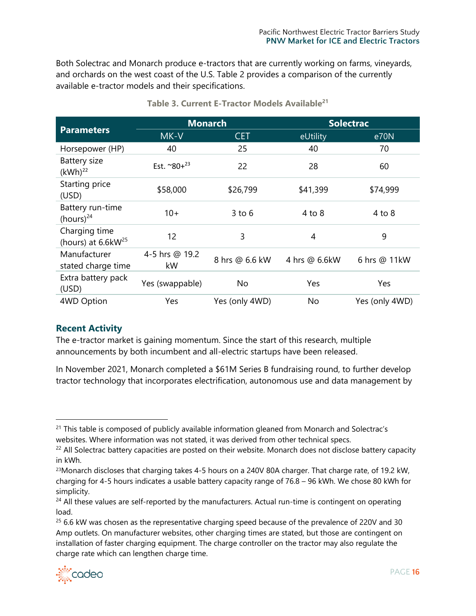Both Solectrac and Monarch produce e-tractors that are currently working on farms, vineyards, and orchards on the west coast of the U.S. Table 2 provides a comparison of the currently available e-tractor models and their specifications.

|                                              |                        | <b>Monarch</b> |               | <b>Solectrac</b> |
|----------------------------------------------|------------------------|----------------|---------------|------------------|
| <b>Parameters</b>                            | MK-V                   | <b>CET</b>     | eUtility      | e70N             |
| Horsepower (HP)                              | 40                     | 25             | 40            | 70               |
| Battery size<br>(kWh) <sup>22</sup>          | Est. $^{\sim}80+^{23}$ | 22             | 28            | 60               |
| Starting price<br>(USD)                      | \$58,000               | \$26,799       | \$41,399      | \$74,999         |
| Battery run-time<br>(hours) $^{24}$          | $10+$                  | $3$ to $6$     | 4 to 8        | $4$ to $8$       |
| Charging time<br>(hours) at $6.6$ k $W^{25}$ | 12                     | 3              | 4             | 9                |
| Manufacturer<br>stated charge time           | 4-5 hrs @ 19.2<br>kW   | 8 hrs @ 6.6 kW | 4 hrs @ 6.6kW | 6 hrs @ 11kW     |
| Extra battery pack<br>(USD)                  | Yes (swappable)        | No             | Yes           | Yes              |
| 4WD Option                                   | Yes                    | Yes (only 4WD) | No            | Yes (only 4WD)   |

## **Table 3. Current E-Tractor Models Available<sup>21</sup>**

### **Recent Activity**

The e-tractor market is gaining momentum. Since the start of this research, multiple announcements by both incumbent and all-electric startups have been released.

In November 2021, Monarch completed a \$61M Series B fundraising round, to further develop tractor technology that incorporates electrification, autonomous use and data management by

 $25$  6.6 kW was chosen as the representative charging speed because of the prevalence of 220V and 30 Amp outlets. On manufacturer websites, other charging times are stated, but those are contingent on installation of faster charging equipment. The charge controller on the tractor may also regulate the charge rate which can lengthen charge time.



<sup>&</sup>lt;sup>21</sup> This table is composed of publicly available information gleaned from Monarch and Solectrac's websites. Where information was not stated, it was derived from other technical specs.

 $22$  All Solectrac battery capacities are posted on their website. Monarch does not disclose battery capacity in kWh.

<sup>&</sup>lt;sup>23</sup>Monarch discloses that charging takes 4-5 hours on a 240V 80A charger. That charge rate, of 19.2 kW, charging for 4-5 hours indicates a usable battery capacity range of 76.8 – 96 kWh. We chose 80 kWh for simplicity.

 $24$  All these values are self-reported by the manufacturers. Actual run-time is contingent on operating load.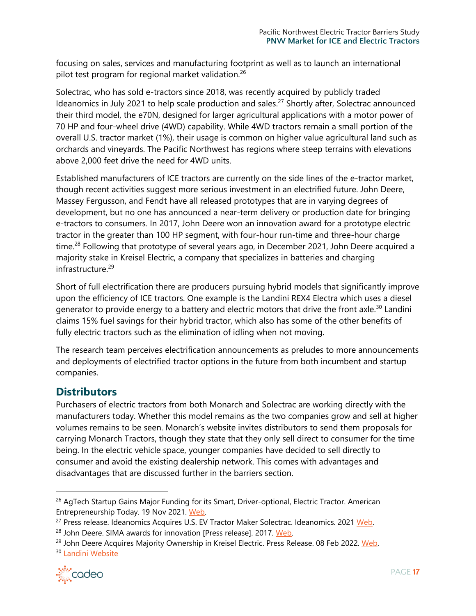focusing on sales, services and manufacturing footprint as well as to launch an international pilot test program for regional market validation.<sup>26</sup>

Solectrac, who has sold e-tractors since 2018, was recently acquired by publicly traded Ideanomics in July 2021 to help scale production and sales.<sup>27</sup> Shortly after, Solectrac announced their third model, the e70N, designed for larger agricultural applications with a motor power of 70 HP and four-wheel drive (4WD) capability. While 4WD tractors remain a small portion of the overall U.S. tractor market (1%), their usage is common on higher value agricultural land such as orchards and vineyards. The Pacific Northwest has regions where steep terrains with elevations above 2,000 feet drive the need for 4WD units.

Established manufacturers of ICE tractors are currently on the side lines of the e-tractor market, though recent activities suggest more serious investment in an electrified future. John Deere, Massey Fergusson, and Fendt have all released prototypes that are in varying degrees of development, but no one has announced a near-term delivery or production date for bringing e-tractors to consumers. In 2017, John Deere won an innovation award for a prototype electric tractor in the greater than 100 HP segment, with four-hour run-time and three-hour charge time.<sup>28</sup> Following that prototype of several years ago, in December 2021, John Deere acquired a majority stake in Kreisel Electric, a company that specializes in batteries and charging infrastructure.<sup>29</sup>

Short of full electrification there are producers pursuing hybrid models that significantly improve upon the efficiency of ICE tractors. One example is the Landini REX4 Electra which uses a diesel generator to provide energy to a battery and electric motors that drive the front axle.<sup>30</sup> Landini claims 15% fuel savings for their hybrid tractor, which also has some of the other benefits of fully electric tractors such as the elimination of idling when not moving.

The research team perceives electrification announcements as preludes to more announcements and deployments of electrified tractor options in the future from both incumbent and startup companies.

# **Distributors**

Purchasers of electric tractors from both Monarch and Solectrac are working directly with the manufacturers today. Whether this model remains as the two companies grow and sell at higher volumes remains to be seen. Monarch's website invites distributors to send them proposals for carrying Monarch Tractors, though they state that they only sell direct to consumer for the time being. In the electric vehicle space, younger companies have decided to sell directly to consumer and avoid the existing dealership network. This comes with advantages and disadvantages that are discussed further in the barriers section.

<sup>&</sup>lt;sup>29</sup> John Deere Acquires Majority Ownership in Kreisel Electric. Press Release. 08 Feb 2022. [Web.](https://www.deere.com/en/news/all-news/kreisel-electric-final-approval/) <sup>30</sup> [Landini Website](https://www.deere.com/en/news/all-news/kreisel-electric-final-approval/)



<sup>&</sup>lt;sup>26</sup> AgTech Startup Gains Major Funding for its Smart, Driver-optional, Electric Tractor. American Entrepreneurship Today. 19 Nov 2021. [Web.](https://www.americanentrepreneurship.com/startup-news/agtech-startup-gains-major-funding-smart-driver-optional-electric-tractor)

<sup>&</sup>lt;sup>27</sup> Press release. Ideanomics Acquires U.S. EV Tractor Maker Solectrac. Ideanomics. 2021 Web.

<sup>&</sup>lt;sup>28</sup> John Deere. SIMA awards for innovation [Press release]. 2017. Web.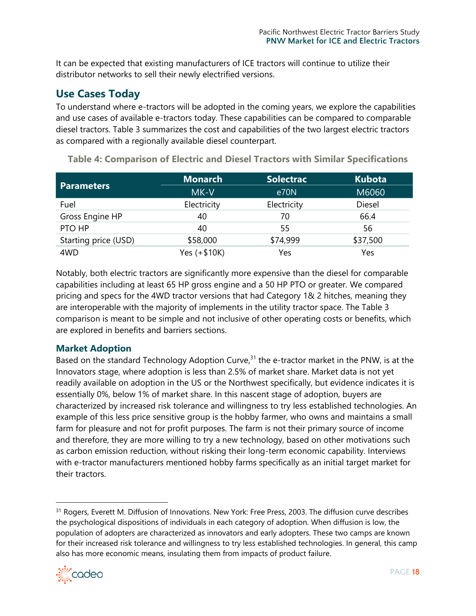It can be expected that existing manufacturers of ICE tractors will continue to utilize their distributor networks to sell their newly electrified versions.

# **Use Cases Today**

To understand where e-tractors will be adopted in the coming years, we explore the capabilities and use cases of available e-tractors today. These capabilities can be compared to comparable diesel tractors. Table 3 summarizes the cost and capabilities of the two largest electric tractors as compared with a regionally available diesel counterpart.

|                      | <b>Monarch</b> | <b>Solectrac</b> | <b>Kubota</b> |
|----------------------|----------------|------------------|---------------|
| <b>Parameters</b>    | MK-V           | e70N             | M6060         |
| Fuel                 | Electricity    | Electricity      | Diesel        |
| Gross Engine HP      | 40             | 70               | 66.4          |
| PTO HP               | 40             | 55               | 56            |
| Starting price (USD) | \$58,000       | \$74,999         | \$37,500      |
| 4WD                  | Yes $(+$10K)$  | Yes              | Yes           |

<span id="page-17-0"></span>**Table 4: Comparison of Electric and Diesel Tractors with Similar Specifications**

Notably, both electric tractors are significantly more expensive than the diesel for comparable capabilities including at least 65 HP gross engine and a 50 HP PTO or greater. We compared pricing and specs for the 4WD tractor versions that had Category 1& 2 hitches, meaning they are interoperable with the majority of implements in the utility tractor space. The Table 3 comparison is meant to be simple and not inclusive of other operating costs or benefits, which are explored in benefits and barriers sections.

### **Market Adoption**

Based on the standard Technology Adoption Curve, $31$  the e-tractor market in the PNW, is at the Innovators stage, where adoption is less than 2.5% of market share. Market data is not yet readily available on adoption in the US or the Northwest specifically, but evidence indicates it is essentially 0%, below 1% of market share. In this nascent stage of adoption, buyers are characterized by increased risk tolerance and willingness to try less established technologies. An example of this less price sensitive group is the hobby farmer, who owns and maintains a small farm for pleasure and not for profit purposes. The farm is not their primary source of income and therefore, they are more willing to try a new technology, based on other motivations such as carbon emission reduction, without risking their long-term economic capability. Interviews with e-tractor manufacturers mentioned hobby farms specifically as an initial target market for their tractors.

<sup>&</sup>lt;sup>31</sup> Rogers, Everett M. Diffusion of Innovations. New York: Free Press, 2003. The diffusion curve describes the psychological dispositions of individuals in each category of adoption. When diffusion is low, the population of adopters are characterized as innovators and early adopters. These two camps are known for their increased risk tolerance and willingness to try less established technologies. In general, this camp also has more economic means, insulating them from impacts of product failure.

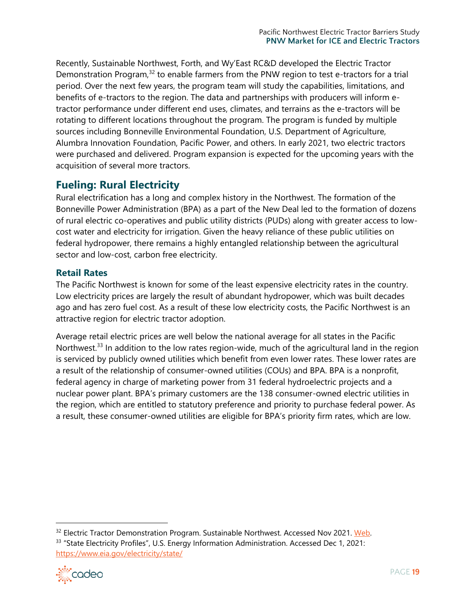Recently, Sustainable Northwest, Forth, and Wy'East RC&D developed the Electric Tractor Demonstration Program, $32$  to enable farmers from the PNW region to test e-tractors for a trial period. Over the next few years, the program team will study the capabilities, limitations, and benefits of e-tractors to the region. The data and partnerships with producers will inform etractor performance under different end uses, climates, and terrains as the e-tractors will be rotating to different locations throughout the program. The program is funded by multiple sources including Bonneville Environmental Foundation, U.S. Department of Agriculture, Alumbra Innovation Foundation, Pacific Power, and others. In early 2021, two electric tractors were purchased and delivered. Program expansion is expected for the upcoming years with the acquisition of several more tractors.

# **Fueling: Rural Electricity**

Rural electrification has a long and complex history in the Northwest. The formation of the Bonneville Power Administration (BPA) as a part of the New Deal led to the formation of dozens of rural electric co-operatives and public utility districts (PUDs) along with greater access to lowcost water and electricity for irrigation. Given the heavy reliance of these public utilities on federal hydropower, there remains a highly entangled relationship between the agricultural sector and low-cost, carbon free electricity.

### **Retail Rates**

The Pacific Northwest is known for some of the least expensive electricity rates in the country. Low electricity prices are largely the result of abundant hydropower, which was built decades ago and has zero fuel cost. As a result of these low electricity costs, the Pacific Northwest is an attractive region for electric tractor adoption.

Average retail electric prices are well below the national average for all states in the Pacific Northwest.<sup>33</sup> In addition to the low rates region-wide, much of the agricultural land in the region is serviced by publicly owned utilities which benefit from even lower rates. These lower rates are a result of the relationship of consumer-owned utilities (COUs) and BPA. BPA is a nonprofit, federal agency in charge of marketing power from 31 federal hydroelectric projects and a nuclear power plant. BPA's primary customers are the 138 consumer-owned electric utilities in the region, which are entitled to statutory preference and priority to purchase federal power. As a result, these consumer-owned utilities are eligible for BPA's priority firm rates, which are low.

<sup>&</sup>lt;sup>32</sup> Electric Tractor Demonstration Program. Sustainable Northwest. Accessed Nov 2021. [Web.](https://www.sustainablenorthwest.org/electric-tractors) <sup>33</sup> "State Electricity Profiles", U.S. Energy Information Administration. Accessed Dec 1, 2021: <https://www.eia.gov/electricity/state/>

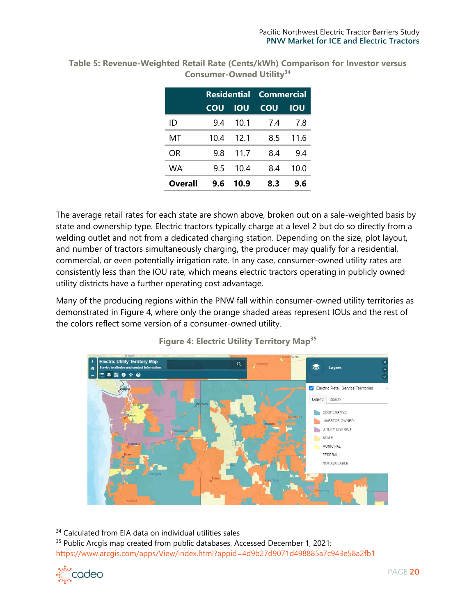|         | <b>Residential</b> |            | Commercial |            |
|---------|--------------------|------------|------------|------------|
|         | COU                | <b>IOU</b> | COU        | <b>IOU</b> |
| ID      | 94                 | 10.1       | 7.4        | 7.8        |
| MT      | 10.4               | 12.1       | 8.5        | 11.6       |
| OR      | 9.8                | 11.7       | 8.4        | 9.4        |
| WA      | 9.5                | 10.4       | 8.4        | 10.0       |
| Overall | 9.6                | 10.9       | 8.3        | 9.6        |

<span id="page-19-0"></span>**Table 5: Revenue-Weighted Retail Rate (Cents/kWh) Comparison for Investor versus Consumer-Owned Utility<sup>34</sup>**

The average retail rates for each state are shown above, broken out on a sale-weighted basis by state and ownership type. Electric tractors typically charge at a level 2 but do so directly from a welding outlet and not from a dedicated charging station. Depending on the size, plot layout, and number of tractors simultaneously charging, the producer may qualify for a residential, commercial, or even potentially irrigation rate. In any case, consumer-owned utility rates are consistently less than the IOU rate, which means electric tractors operating in publicly owned utility districts have a further operating cost advantage.

Many of the producing regions within the PNW fall within consumer-owned utility territories as demonstrated in Figure 4, where only the orange shaded areas represent IOUs and the rest of the colors reflect some version of a consumer-owned utility.



**Figure 4: Electric Utility Territory Map<sup>35</sup>**

<sup>&</sup>lt;sup>35</sup> Public Arcgis map created from public databases, Accessed December 1, 2021: <https://www.arcgis.com/apps/View/index.html?appid=4d9b27d9071d498885a7c943e58a2fb1>



<sup>&</sup>lt;sup>34</sup> Calculated from EIA data on individual utilities sales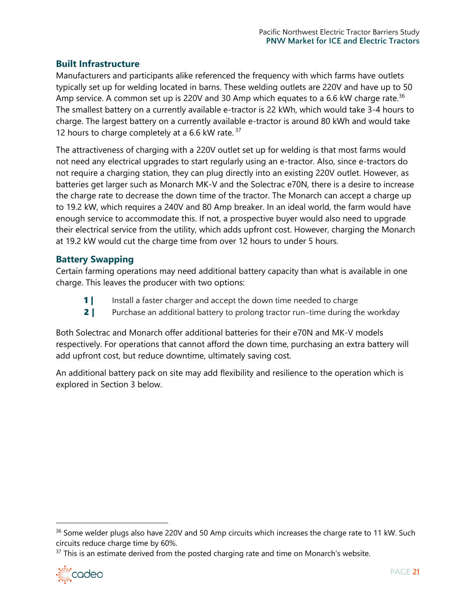## **Built Infrastructure**

Manufacturers and participants alike referenced the frequency with which farms have outlets typically set up for welding located in barns. These welding outlets are 220V and have up to 50 Amp service. A common set up is 220V and 30 Amp which equates to a 6.6 kW charge rate.<sup>36</sup> The smallest battery on a currently available e-tractor is 22 kWh, which would take 3-4 hours to charge. The largest battery on a currently available e-tractor is around 80 kWh and would take 12 hours to charge completely at a 6.6 kW rate.  $37$ 

The attractiveness of charging with a 220V outlet set up for welding is that most farms would not need any electrical upgrades to start regularly using an e-tractor. Also, since e-tractors do not require a charging station, they can plug directly into an existing 220V outlet. However, as batteries get larger such as Monarch MK-V and the Solectrac e70N, there is a desire to increase the charge rate to decrease the down time of the tractor. The Monarch can accept a charge up to 19.2 kW, which requires a 240V and 80 Amp breaker. In an ideal world, the farm would have enough service to accommodate this. If not, a prospective buyer would also need to upgrade their electrical service from the utility, which adds upfront cost. However, charging the Monarch at 19.2 kW would cut the charge time from over 12 hours to under 5 hours.

## **Battery Swapping**

Certain farming operations may need additional battery capacity than what is available in one charge. This leaves the producer with two options:

- **1** Install a faster charger and accept the down time needed to charge
- **2** | Purchase an additional battery to prolong tractor run-time during the workday

Both Solectrac and Monarch offer additional batteries for their e70N and MK-V models respectively. For operations that cannot afford the down time, purchasing an extra battery will add upfront cost, but reduce downtime, ultimately saving cost.

An additional battery pack on site may add flexibility and resilience to the operation which is explored in Section 3 below.

 $37$  This is an estimate derived from the posted charging rate and time on Monarch's website.



<sup>&</sup>lt;sup>36</sup> Some welder plugs also have 220V and 50 Amp circuits which increases the charge rate to 11 kW. Such circuits reduce charge time by 60%.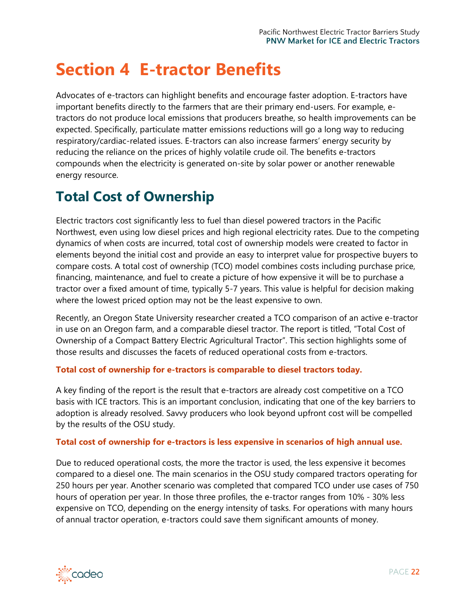# <span id="page-21-0"></span>**Section 4 E-tractor Benefits**

Advocates of e-tractors can highlight benefits and encourage faster adoption. E-tractors have important benefits directly to the farmers that are their primary end-users. For example, etractors do not produce local emissions that producers breathe, so health improvements can be expected. Specifically, particulate matter emissions reductions will go a long way to reducing respiratory/cardiac-related issues. E-tractors can also increase farmers' energy security by reducing the reliance on the prices of highly volatile crude oil. The benefits e-tractors compounds when the electricity is generated on-site by solar power or another renewable energy resource.

# <span id="page-21-1"></span>**Total Cost of Ownership**

Electric tractors cost significantly less to fuel than diesel powered tractors in the Pacific Northwest, even using low diesel prices and high regional electricity rates. Due to the competing dynamics of when costs are incurred, total cost of ownership models were created to factor in elements beyond the initial cost and provide an easy to interpret value for prospective buyers to compare costs. A total cost of ownership (TCO) model combines costs including purchase price, financing, maintenance, and fuel to create a picture of how expensive it will be to purchase a tractor over a fixed amount of time, typically 5-7 years. This value is helpful for decision making where the lowest priced option may not be the least expensive to own.

Recently, an Oregon State University researcher created a TCO comparison of an active e-tractor in use on an Oregon farm, and a comparable diesel tractor. The report is titled, "Total Cost of Ownership of a Compact Battery Electric Agricultural Tractor". This section highlights some of those results and discusses the facets of reduced operational costs from e-tractors.

#### **Total cost of ownership for e-tractors is comparable to diesel tractors today.**

A key finding of the report is the result that e-tractors are already cost competitive on a TCO basis with ICE tractors. This is an important conclusion, indicating that one of the key barriers to adoption is already resolved. Savvy producers who look beyond upfront cost will be compelled by the results of the OSU study.

#### **Total cost of ownership for e-tractors is less expensive in scenarios of high annual use.**

Due to reduced operational costs, the more the tractor is used, the less expensive it becomes compared to a diesel one. The main scenarios in the OSU study compared tractors operating for 250 hours per year. Another scenario was completed that compared TCO under use cases of 750 hours of operation per year. In those three profiles, the e-tractor ranges from 10% - 30% less expensive on TCO, depending on the energy intensity of tasks. For operations with many hours of annual tractor operation, e-tractors could save them significant amounts of money.

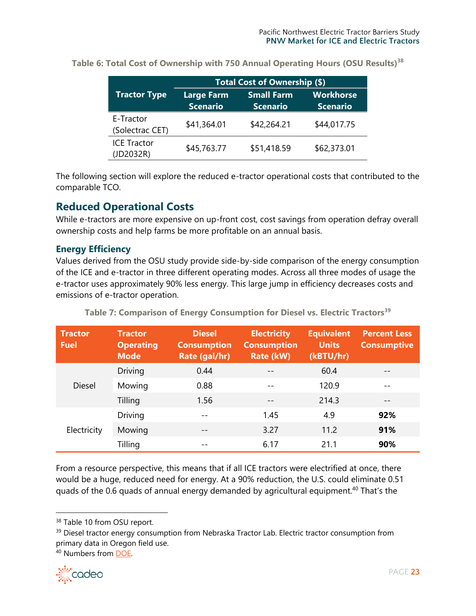|                                 | Total Cost of Ownership (\$)         |                                      |                                     |  |
|---------------------------------|--------------------------------------|--------------------------------------|-------------------------------------|--|
| <b>Tractor Type</b>             | <b>Large Farm</b><br><b>Scenario</b> | <b>Small Farm</b><br><b>Scenario</b> | <b>Workhorse</b><br><b>Scenario</b> |  |
| E-Tractor<br>(Solectrac CET)    | \$41,364.01                          | \$42,264.21                          | \$44,017.75                         |  |
| <b>ICE Tractor</b><br>(JD2032R) | \$45,763.77                          | \$51,418.59                          | \$62,373.01                         |  |

**Table 6: Total Cost of Ownership with 750 Annual Operating Hours (OSU Results)<sup>38</sup>**

The following section will explore the reduced e-tractor operational costs that contributed to the comparable TCO.

## <span id="page-22-0"></span>**Reduced Operational Costs**

While e-tractors are more expensive on up-front cost, cost savings from operation defray overall ownership costs and help farms be more profitable on an annual basis.

## **Energy Efficiency**

Values derived from the OSU study provide side-by-side comparison of the energy consumption of the ICE and e-tractor in three different operating modes. Across all three modes of usage the e-tractor uses approximately 90% less energy. This large jump in efficiency decreases costs and emissions of e-tractor operation.

| <b>Tractor</b><br><b>Fuel</b> | <b>Tractor</b><br><b>Operating</b><br><b>Mode</b> | <b>Diesel</b><br><b>Consumption</b><br>Rate (gal/hr) | <b>Electricity</b><br><b>Consumption</b><br>Rate (kW) | <b>Equivalent</b><br><b>Units</b><br>(kBTU/hr) | <b>Percent Less</b><br><b>Consumptive</b> |
|-------------------------------|---------------------------------------------------|------------------------------------------------------|-------------------------------------------------------|------------------------------------------------|-------------------------------------------|
|                               | <b>Driving</b>                                    | 0.44                                                 |                                                       | 60.4                                           |                                           |
| <b>Diesel</b>                 | Mowing                                            | 0.88                                                 |                                                       | 120.9                                          | $ -$                                      |
|                               | Tilling                                           | 1.56                                                 |                                                       | 214.3                                          |                                           |
|                               | Driving                                           | $ -$                                                 | 1.45                                                  | 4.9                                            | 92%                                       |
| Electricity                   | Mowing                                            | $ -$                                                 | 3.27                                                  | 11.2                                           | 91%                                       |
|                               | Tilling                                           |                                                      | 6.17                                                  | 21.1                                           | 90%                                       |

**Table 7: Comparison of Energy Consumption for Diesel vs. Electric Tractors<sup>39</sup>**

From a resource perspective, this means that if all ICE tractors were electrified at once, there would be a huge, reduced need for energy. At a 90% reduction, the U.S. could eliminate 0.51 quads of the 0.6 quads of annual energy demanded by agricultural equipment.<sup>40</sup> That's the

<sup>40</sup> Numbers from [DOE.](http://departmentof.energy/)



<sup>38</sup> Table 10 from OSU report.

<sup>&</sup>lt;sup>39</sup> Diesel tractor energy consumption from Nebraska Tractor Lab. Electric tractor consumption from primary data in Oregon field use.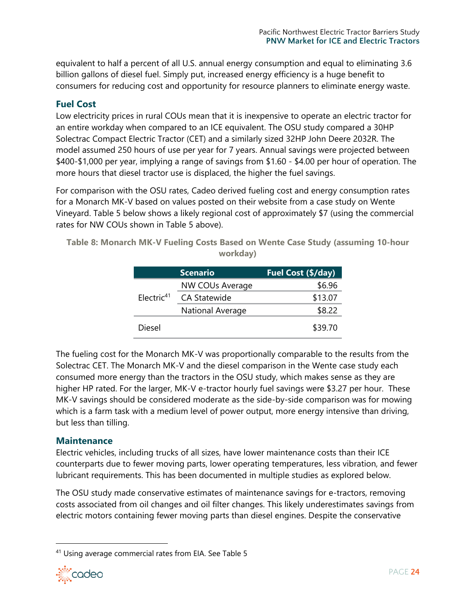equivalent to half a percent of all U.S. annual energy consumption and equal to eliminating 3.6 billion gallons of diesel fuel. Simply put, increased energy efficiency is a huge benefit to consumers for reducing cost and opportunity for resource planners to eliminate energy waste.

## **Fuel Cost**

Low electricity prices in rural COUs mean that it is inexpensive to operate an electric tractor for an entire workday when compared to an ICE equivalent. The OSU study compared a 30HP Solectrac Compact Electric Tractor (CET) and a similarly sized 32HP John Deere 2032R. The model assumed 250 hours of use per year for 7 years. Annual savings were projected between \$400-\$1,000 per year, implying a range of savings from \$1.60 - \$4.00 per hour of operation. The more hours that diesel tractor use is displaced, the higher the fuel savings.

For comparison with the OSU rates, Cadeo derived fueling cost and energy consumption rates for a Monarch MK-V based on values posted on their website from a case study on Wente Vineyard. Table 5 below shows a likely regional cost of approximately \$7 (using the commercial rates for NW COUs shown in [Table 5](#page-19-0) above).

**Table 8: Monarch MK-V Fueling Costs Based on Wente Case Study (assuming 10-hour workday)**

|               | <b>Scenario</b>     | Fuel Cost (\$/day) |
|---------------|---------------------|--------------------|
|               | NW COUs Average     | \$6.96             |
| Electric $41$ | <b>CA Statewide</b> | \$13.07            |
|               | National Average    | \$8.22             |
| <b>Diesel</b> |                     | \$39.70            |

The fueling cost for the Monarch MK-V was proportionally comparable to the results from the Solectrac CET. The Monarch MK-V and the diesel comparison in the Wente case study each consumed more energy than the tractors in the OSU study, which makes sense as they are higher HP rated. For the larger, MK-V e-tractor hourly fuel savings were \$3.27 per hour. These MK-V savings should be considered moderate as the side-by-side comparison was for mowing which is a farm task with a medium level of power output, more energy intensive than driving, but less than tilling.

### **Maintenance**

Electric vehicles, including trucks of all sizes, have lower maintenance costs than their ICE counterparts due to fewer moving parts, lower operating temperatures, less vibration, and fewer lubricant requirements. This has been documented in multiple studies as explored below.

The OSU study made conservative estimates of maintenance savings for e-tractors, removing costs associated from oil changes and oil filter changes. This likely underestimates savings from electric motors containing fewer moving parts than diesel engines. Despite the conservative

<sup>41</sup> Using average commercial rates from EIA. See [Table 5](#page-19-0)

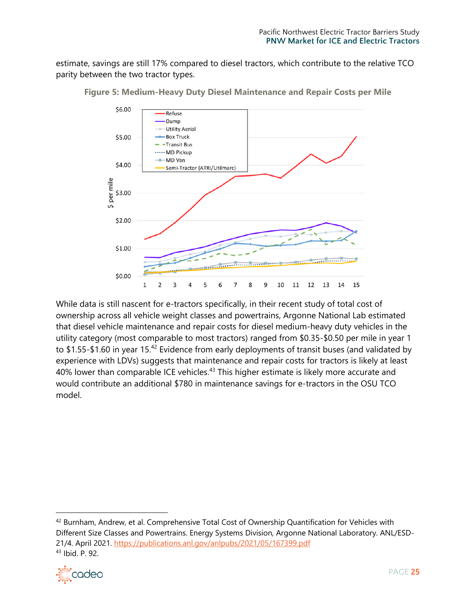estimate, savings are still 17% compared to diesel tractors, which contribute to the relative TCO parity between the two tractor types.



**Figure 5: Medium-Heavy Duty Diesel Maintenance and Repair Costs per Mile**

While data is still nascent for e-tractors specifically, in their recent study of total cost of ownership across all vehicle weight classes and powertrains, Argonne National Lab estimated that diesel vehicle maintenance and repair costs for diesel medium-heavy duty vehicles in the utility category (most comparable to most tractors) ranged from \$0.35-\$0.50 per mile in year 1 to \$1.55-\$1.60 in year 15.<sup>42</sup> Evidence from early deployments of transit buses (and validated by experience with LDVs) suggests that maintenance and repair costs for tractors is likely at least 40% lower than comparable ICE vehicles. $43$  This higher estimate is likely more accurate and would contribute an additional \$780 in maintenance savings for e-tractors in the OSU TCO model.

<sup>&</sup>lt;sup>42</sup> Burnham, Andrew, et al. Comprehensive Total Cost of Ownership Quantification for Vehicles with Different Size Classes and Powertrains. Energy Systems Division, Argonne National Laboratory. ANL/ESD-21/4. April 2021.<https://publications.anl.gov/anlpubs/2021/05/167399.pdf> <sup>43</sup> Ibid. P. 92.

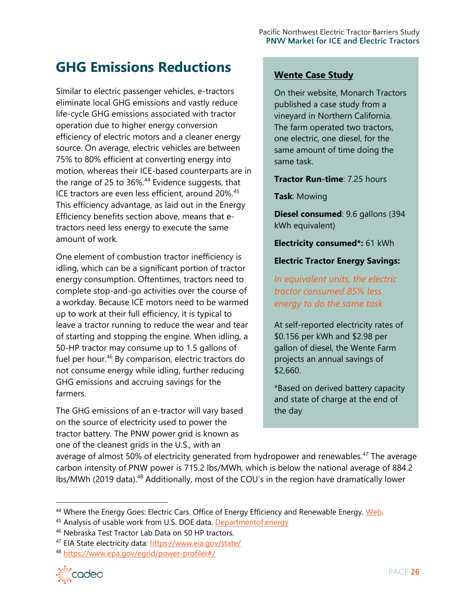# <span id="page-25-0"></span>**GHG Emissions Reductions**

Similar to electric passenger vehicles, e-tractors eliminate local GHG emissions and vastly reduce life-cycle GHG emissions associated with tractor operation due to higher energy conversion efficiency of electric motors and a cleaner energy source. On average, electric vehicles are between 75% to 80% efficient at converting energy into motion, whereas their ICE-based counterparts are in the range of 25 to  $36\%$ .<sup>44</sup> Evidence suggests, that ICE tractors are even less efficient, around 20%.<sup>45</sup> This efficiency advantage, as laid out in the Energy Efficiency benefits section above, means that etractors need less energy to execute the same amount of work.

One element of combustion tractor inefficiency is idling, which can be a significant portion of tractor energy consumption. Oftentimes, tractors need to complete stop-and-go activities over the course of a workday. Because ICE motors need to be warmed up to work at their full efficiency, it is typical to leave a tractor running to reduce the wear and tear of starting and stopping the engine. When idling, a 50-HP tractor may consume up to 1.5 gallons of fuel per hour.<sup>46</sup> By comparison, electric tractors do not consume energy while idling, further reducing GHG emissions and accruing savings for the farmers.

The GHG emissions of an e-tractor will vary based on the source of electricity used to power the tractor battery. The PNW power grid is known as one of the cleanest grids in the U.S., with an

## **Wente Case Study**

On their website, Monarch Tractors published a case study from a vineyard in Northern California. The farm operated two tractors, one electric, one diesel, for the same amount of time doing the same task.

#### **Tractor Run-time**: 7.25 hours

**Task**: Mowing

**Diesel consumed**: 9.6 gallons (394 kWh equivalent)

**Electricity consumed\*:** 61 kWh

**Electric Tractor Energy Savings:**

*In equivalent units, the electric tractor consumed 85% less energy to do the same task*

At self-reported electricity rates of \$0.156 per kWh and \$2.98 per gallon of diesel, the Wente Farm projects an annual savings of \$2,660.

\*Based on derived battery capacity and state of charge at the end of the day

average of almost 50% of electricity generated from hydropower and renewables.<sup>47</sup> The average carbon intensity of PNW power is 715.2 lbs/MWh, which is below the national average of 884.2 lbs/MWh (2019 data).<sup>48</sup> Additionally, most of the COU's in the region have dramatically lower

<sup>48</sup> <https://www.epa.gov/egrid/power-profiler#/>



<sup>&</sup>lt;sup>44</sup> Where the Energy Goes: Electric Cars. Office of Energy Efficiency and Renewable Energy. [Web.](https://www.fueleconomy.gov/feg/atv-ev.shtml)

<sup>45</sup> Analysis of usable work from U.S. DOE data. [Departmentof.energy](http://departmentof.energy/)

<sup>46</sup> Nebraska Test Tractor Lab Data on 50 HP tractors.

<sup>47</sup> EIA State electricity data:<https://www.eia.gov/state/>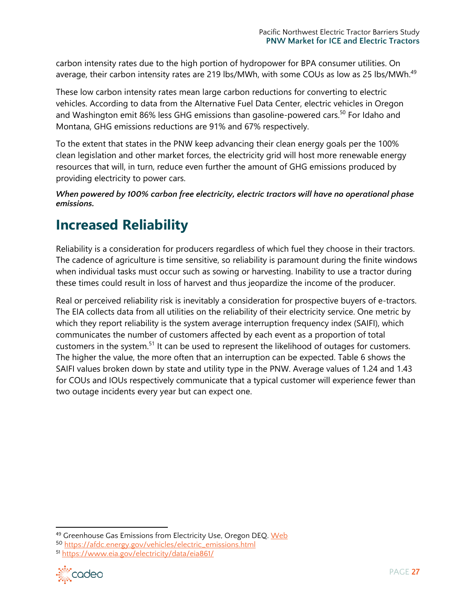carbon intensity rates due to the high portion of hydropower for BPA consumer utilities. On average, their carbon intensity rates are 219 lbs/MWh, with some COUs as low as 25 lbs/MWh.<sup>49</sup>

These low carbon intensity rates mean large carbon reductions for converting to electric vehicles. According to data from the Alternative Fuel Data Center, electric vehicles in Oregon and Washington emit 86% less GHG emissions than gasoline-powered cars.<sup>50</sup> For Idaho and Montana, GHG emissions reductions are 91% and 67% respectively.

To the extent that states in the PNW keep advancing their clean energy goals per the 100% clean legislation and other market forces, the electricity grid will host more renewable energy resources that will, in turn, reduce even further the amount of GHG emissions produced by providing electricity to power cars.

*When powered by 100% carbon free electricity, electric tractors will have no operational phase emissions.*

# <span id="page-26-0"></span>**Increased Reliability**

Reliability is a consideration for producers regardless of which fuel they choose in their tractors. The cadence of agriculture is time sensitive, so reliability is paramount during the finite windows when individual tasks must occur such as sowing or harvesting. Inability to use a tractor during these times could result in loss of harvest and thus jeopardize the income of the producer.

Real or perceived reliability risk is inevitably a consideration for prospective buyers of e-tractors. The EIA collects data from all utilities on the reliability of their electricity service. One metric by which they report reliability is the system average interruption frequency index (SAIFI), which communicates the number of customers affected by each event as a proportion of total customers in the system.<sup>51</sup> It can be used to represent the likelihood of outages for customers. The higher the value, the more often that an interruption can be expected. Table 6 shows the SAIFI values broken down by state and utility type in the PNW. Average values of 1.24 and 1.43 for COUs and IOUs respectively communicate that a typical customer will experience fewer than two outage incidents every year but can expect one.

<sup>51</sup> <https://www.eia.gov/electricity/data/eia861/>



<sup>49</sup> Greenhouse Gas Emissions from Electricity Use, Oregon DEQ. [Web](https://www.oregon.gov/deq/aq/programs/Pages/GHG-Emissions.aspx)

<sup>50</sup> [https://afdc.energy.gov/vehicles/electric\\_emissions.html](https://afdc.energy.gov/vehicles/electric_emissions.html)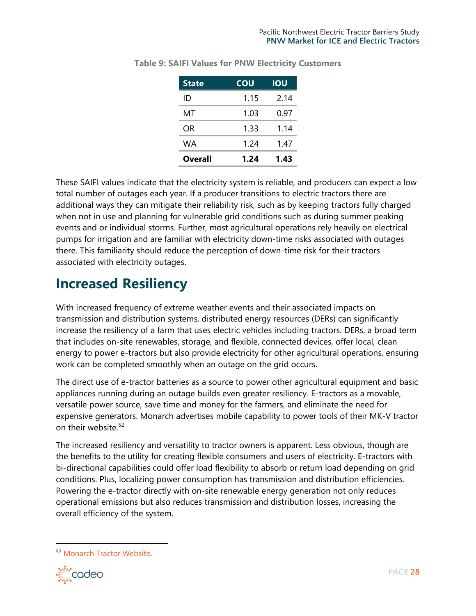| <b>State</b> | <b>COU</b> | <b>IOU</b> |
|--------------|------------|------------|
| ID           | 1.15       | 2.14       |
| МT           | 1.03       | 0.97       |
| OR.          | 1.33       | 1.14       |
| WA           | 1.24       | 1.47       |
| Overall      | 1.24       | 1.43       |

**Table 9: SAIFI Values for PNW Electricity Customers**

These SAIFI values indicate that the electricity system is reliable, and producers can expect a low total number of outages each year. If a producer transitions to electric tractors there are additional ways they can mitigate their reliability risk, such as by keeping tractors fully charged when not in use and planning for vulnerable grid conditions such as during summer peaking events and or individual storms. Further, most agricultural operations rely heavily on electrical pumps for irrigation and are familiar with electricity down-time risks associated with outages there. This familiarity should reduce the perception of down-time risk for their tractors associated with electricity outages.

# <span id="page-27-0"></span>**Increased Resiliency**

With increased frequency of extreme weather events and their associated impacts on transmission and distribution systems, distributed energy resources (DERs) can significantly increase the resiliency of a farm that uses electric vehicles including tractors. DERs, a broad term that includes on-site renewables, storage, and flexible, connected devices, offer local, clean energy to power e-tractors but also provide electricity for other agricultural operations, ensuring work can be completed smoothly when an outage on the grid occurs.

The direct use of e-tractor batteries as a source to power other agricultural equipment and basic appliances running during an outage builds even greater resiliency. E-tractors as a movable, versatile power source, save time and money for the farmers, and eliminate the need for expensive generators. Monarch advertises mobile capability to power tools of their MK-V tractor on their website.<sup>52</sup>

The increased resiliency and versatility to tractor owners is apparent. Less obvious, though are the benefits to the utility for creating flexible consumers and users of electricity. E-tractors with bi-directional capabilities could offer load flexibility to absorb or return load depending on grid conditions. Plus, localizing power consumption has transmission and distribution efficiencies. Powering the e-tractor directly with on-site renewable energy generation not only reduces operational emissions but also reduces transmission and distribution losses, increasing the overall efficiency of the system.

<sup>52</sup> [Monarch Tractor Website.](https://www.monarchtractor.com/mkv.html) 

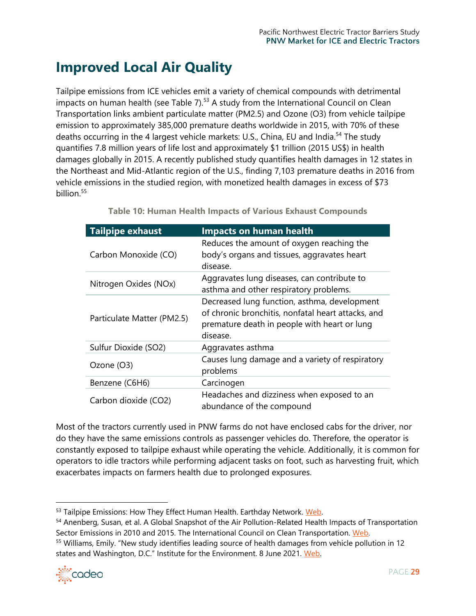# <span id="page-28-0"></span>**Improved Local Air Quality**

Tailpipe emissions from ICE vehicles emit a variety of chemical compounds with detrimental impacts on human health (see Table  $7$ ).<sup>53</sup> A study from the International Council on Clean Transportation links ambient particulate matter (PM2.5) and Ozone (O3) from vehicle tailpipe emission to approximately 385,000 premature deaths worldwide in 2015, with 70% of these deaths occurring in the 4 largest vehicle markets: U.S., China, EU and India.<sup>54</sup> The study quantifies 7.8 million years of life lost and approximately \$1 trillion (2015 US\$) in health damages globally in 2015. A recently published study quantifies health damages in 12 states in the Northeast and Mid-Atlantic region of the U.S., finding 7,103 premature deaths in 2016 from vehicle emissions in the studied region, with monetized health damages in excess of \$73 billion. 55

| <b>Tailpipe exhaust</b>    | <b>Impacts on human health</b>                                                                                                                                 |
|----------------------------|----------------------------------------------------------------------------------------------------------------------------------------------------------------|
| Carbon Monoxide (CO)       | Reduces the amount of oxygen reaching the<br>body's organs and tissues, aggravates heart<br>disease.                                                           |
| Nitrogen Oxides (NOx)      | Aggravates lung diseases, can contribute to<br>asthma and other respiratory problems.                                                                          |
| Particulate Matter (PM2.5) | Decreased lung function, asthma, development<br>of chronic bronchitis, nonfatal heart attacks, and<br>premature death in people with heart or lung<br>disease. |
| Sulfur Dioxide (SO2)       | Aggravates asthma                                                                                                                                              |
| Ozone (O3)                 | Causes lung damage and a variety of respiratory<br>problems                                                                                                    |
| Benzene (C6H6)             | Carcinogen                                                                                                                                                     |
| Carbon dioxide (CO2)       | Headaches and dizziness when exposed to an<br>abundance of the compound                                                                                        |

**Table 10: Human Health Impacts of Various Exhaust Compounds**

Most of the tractors currently used in PNW farms do not have enclosed cabs for the driver, nor do they have the same emissions controls as passenger vehicles do. Therefore, the operator is constantly exposed to tailpipe exhaust while operating the vehicle. Additionally, it is common for operators to idle tractors while performing adjacent tasks on foot, such as harvesting fruit, which exacerbates impacts on farmers health due to prolonged exposures.

<sup>55</sup> Williams, Emily. "New study identifies leading source of health damages from vehicle pollution in 12 states and Washington, D.C." Institute for the Environment. 8 June 2021. Web.



<sup>53</sup> Tailpipe Emissions: How They Effect Human Health. Earthday Network. [Web.](http://media.opencurriculum.org/resources/tailpipe_emissions.pdf)

<sup>54</sup> Anenberg, Susan, et al. A Global Snapshot of the Air Pollution-Related Health Impacts of Transportation Sector Emissions in 2010 and 2015. The International Council on Clean Transportation. [Web.](https://theicct.org/publications/health-impacts-transport-emissions-2010-2015)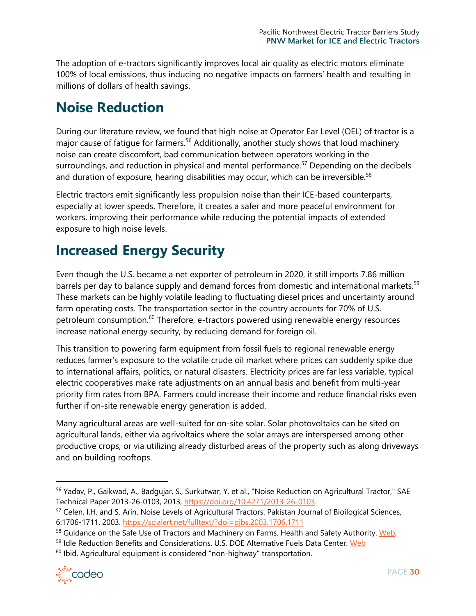The adoption of e-tractors significantly improves local air quality as electric motors eliminate 100% of local emissions, thus inducing no negative impacts on farmers' health and resulting in millions of dollars of health savings.

# <span id="page-29-0"></span>**Noise Reduction**

During our literature review, we found that high noise at Operator Ear Level (OEL) of tractor is a major cause of fatigue for farmers.<sup>56</sup> Additionally, another study shows that loud machinery noise can create discomfort, bad communication between operators working in the surroundings, and reduction in physical and mental performance.<sup>57</sup> Depending on the decibels and duration of exposure, hearing disabilities may occur, which can be irreversible.<sup>58</sup>

Electric tractors emit significantly less propulsion noise than their ICE-based counterparts, especially at lower speeds. Therefore, it creates a safer and more peaceful environment for workers, improving their performance while reducing the potential impacts of extended exposure to high noise levels.

# <span id="page-29-1"></span>**Increased Energy Security**

Even though the U.S. became a net exporter of petroleum in 2020, it still imports 7.86 million barrels per day to balance supply and demand forces from domestic and international markets.<sup>59</sup> These markets can be highly volatile leading to fluctuating diesel prices and uncertainty around farm operating costs. The transportation sector in the country accounts for 70% of U.S. petroleum consumption.<sup>60</sup> Therefore, e-tractors powered using renewable energy resources increase national energy security, by reducing demand for foreign oil.

This transition to powering farm equipment from fossil fuels to regional renewable energy reduces farmer's exposure to the volatile crude oil market where prices can suddenly spike due to international affairs, politics, or natural disasters. Electricity prices are far less variable, typical electric cooperatives make rate adjustments on an annual basis and benefit from multi-year priority firm rates from BPA. Farmers could increase their income and reduce financial risks even further if on-site renewable energy generation is added.

Many agricultural areas are well-suited for on-site solar. Solar photovoltaics can be sited on agricultural lands, either via agrivoltaics where the solar arrays are interspersed among other productive crops, or via utilizing already disturbed areas of the property such as along driveways and on building rooftops.

<sup>60</sup> Ibid. Agricultural equipment is considered "non-highway" transportation.



<sup>&</sup>lt;sup>56</sup> Yadav, P., Gaikwad, A., Badgujar, S., Surkutwar, Y. et al., "Noise Reduction on Agricultural Tractor," SAE Technical Paper 2013-26-0103, 2013, [https://doi.org/10.4271/2013-26-0103.](https://doi.org/10.4271/2013-26-0103)

<sup>57</sup> Celen, I.H. and S. Arin. Noise Levels of Agricultural Tractors. Pakistan Journal of Bioilogical Sciences, 6:1706-1711. 2003.<https://scialert.net/fulltext/?doi=pjbs.2003.1706.1711>

<sup>58</sup> Guidance on the Safe Use of Tractors and Machinery on Farms. Health and Safety Authority. [Web.](https://www.hsa.ie/eng/Publications_and_Forms/Publications/Agriculture_and_Forestry/Guidance_on_the_Safe_Use_of_Tractors_and_Machinery_on_Farms.pdf)

<sup>59</sup> Idle Reduction Benefits and Considerations. U.S. DOE Alternative Fuels Data Center. [Web](https://afdc.energy.gov/conserve/idle_reduction_benefits.html)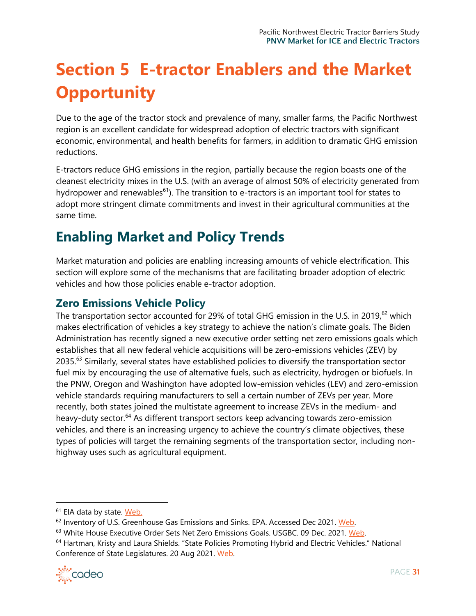# <span id="page-30-0"></span>**Section 5 E-tractor Enablers and the Market Opportunity**

Due to the age of the tractor stock and prevalence of many, smaller farms, the Pacific Northwest region is an excellent candidate for widespread adoption of electric tractors with significant economic, environmental, and health benefits for farmers, in addition to dramatic GHG emission reductions.

E-tractors reduce GHG emissions in the region, partially because the region boasts one of the cleanest electricity mixes in the U.S. (with an average of almost 50% of electricity generated from hydropower and renewables<sup>61</sup>). The transition to e-tractors is an important tool for states to adopt more stringent climate commitments and invest in their agricultural communities at the same time.

# <span id="page-30-1"></span>**Enabling Market and Policy Trends**

Market maturation and policies are enabling increasing amounts of vehicle electrification. This section will explore some of the mechanisms that are facilitating broader adoption of electric vehicles and how those policies enable e-tractor adoption.

# **Zero Emissions Vehicle Policy**

The transportation sector accounted for 29% of total GHG emission in the U.S. in 2019,<sup>62</sup> which makes electrification of vehicles a key strategy to achieve the nation's climate goals. The Biden Administration has recently signed a new executive order setting net zero emissions goals which establishes that all new federal vehicle acquisitions will be zero-emissions vehicles (ZEV) by 2035.<sup>63</sup> Similarly, several states have established policies to diversify the transportation sector fuel mix by encouraging the use of alternative fuels, such as electricity, hydrogen or biofuels. In the PNW, Oregon and Washington have adopted low-emission vehicles (LEV) and zero-emission vehicle standards requiring manufacturers to sell a certain number of ZEVs per year. More recently, both states joined the multistate agreement to increase ZEVs in the medium- and heavy-duty sector.<sup>64</sup> As different transport sectors keep advancing towards zero-emission vehicles, and there is an increasing urgency to achieve the country's climate objectives, these types of policies will target the remaining segments of the transportation sector, including nonhighway uses such as agricultural equipment.

<sup>64</sup> Hartman, Kristy and Laura Shields. "State Policies Promoting Hybrid and Electric Vehicles." National Conference of State Legislatures. 20 Aug 2021. [Web.](https://www.ncsl.org/research/energy/state-electric-vehicle-incentives-state-chart.aspx)



<sup>&</sup>lt;sup>61</sup> EIA data by state. [Web.](https://www.eia.gov/state/)

<sup>&</sup>lt;sup>62</sup> Inventory of U.S. Greenhouse Gas Emissions and Sinks. EPA. Accessed Dec 2021. [Web.](https://www.epa.gov/ghgemissions/inventory-us-greenhouse-gas-emissions-and-sinks)

<sup>&</sup>lt;sup>63</sup> White House Executive Order Sets Net Zero Emissions Goals. USGBC. 09 Dec. 2021. [Web.](https://www.usgbc.org/articles/white-house-executive-order-sets-net-zero-emission-goals)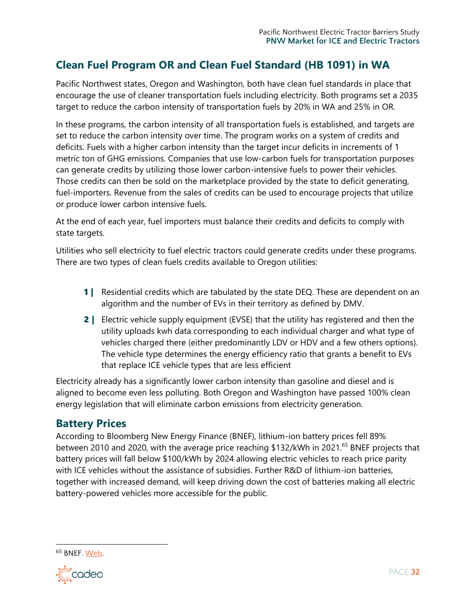# **Clean Fuel Program OR and Clean Fuel Standard (HB 1091) in WA**

Pacific Northwest states, Oregon and Washington, both have clean fuel standards in place that encourage the use of cleaner transportation fuels including electricity. Both programs set a 2035 target to reduce the carbon intensity of transportation fuels by 20% in WA and 25% in OR.

In these programs, the carbon intensity of all transportation fuels is established, and targets are set to reduce the carbon intensity over time. The program works on a system of credits and deficits. Fuels with a higher carbon intensity than the target incur deficits in increments of 1 metric ton of GHG emissions. Companies that use low-carbon fuels for transportation purposes can generate credits by utilizing those lower carbon-intensive fuels to power their vehicles. Those credits can then be sold on the marketplace provided by the state to deficit generating, fuel-importers. Revenue from the sales of credits can be used to encourage projects that utilize or produce lower carbon intensive fuels.

At the end of each year, fuel importers must balance their credits and deficits to comply with state targets.

Utilities who sell electricity to fuel electric tractors could generate credits under these programs. There are two types of clean fuels credits available to Oregon utilities:

- **1** | Residential credits which are tabulated by the state DEQ. These are dependent on an algorithm and the number of EVs in their territory as defined by DMV.
- 2 | Electric vehicle supply equipment (EVSE) that the utility has registered and then the utility uploads kwh data corresponding to each individual charger and what type of vehicles charged there (either predominantly LDV or HDV and a few others options). The vehicle type determines the energy efficiency ratio that grants a benefit to EVs that replace ICE vehicle types that are less efficient

Electricity already has a significantly lower carbon intensity than gasoline and diesel and is aligned to become even less polluting. Both Oregon and Washington have passed 100% clean energy legislation that will eliminate carbon emissions from electricity generation.

# **Battery Prices**

According to Bloomberg New Energy Finance (BNEF), lithium-ion battery prices fell 89% between 2010 and 2020, with the average price reaching \$132/kWh in 2021.<sup>65</sup> BNEF projects that battery prices will fall below \$100/kWh by 2024 allowing electric vehicles to reach price parity with ICE vehicles without the assistance of subsidies. Further R&D of lithium-ion batteries, together with increased demand, will keep driving down the cost of batteries making all electric battery-powered vehicles more accessible for the public.

<sup>65</sup> BNEF[. Web.](https://about.bnef.com/blog/battery-pack-prices-fall-to-an-average-of-132-kwh-but-rising-commodity-prices-start-to-bite/)

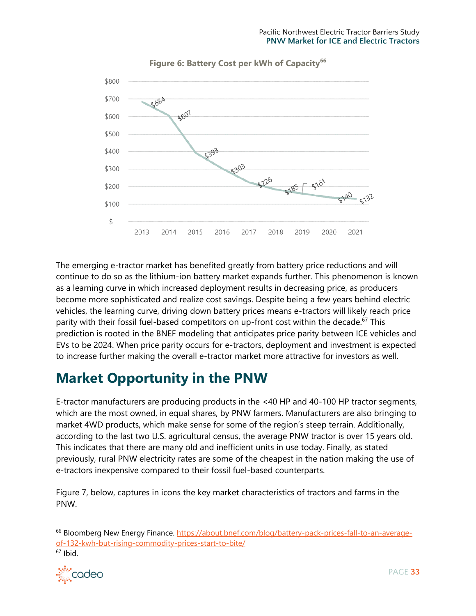

**Figure 6: Battery Cost per kWh of Capacity<sup>66</sup>**

The emerging e-tractor market has benefited greatly from battery price reductions and will continue to do so as the lithium-ion battery market expands further. This phenomenon is known as a learning curve in which increased deployment results in decreasing price, as producers become more sophisticated and realize cost savings. Despite being a few years behind electric vehicles, the learning curve, driving down battery prices means e-tractors will likely reach price parity with their fossil fuel-based competitors on up-front cost within the decade.<sup>67</sup> This prediction is rooted in the BNEF modeling that anticipates price parity between ICE vehicles and EVs to be 2024. When price parity occurs for e-tractors, deployment and investment is expected to increase further making the overall e-tractor market more attractive for investors as well.

# <span id="page-32-0"></span>**Market Opportunity in the PNW**

E-tractor manufacturers are producing products in the <40 HP and 40-100 HP tractor segments, which are the most owned, in equal shares, by PNW farmers. Manufacturers are also bringing to market 4WD products, which make sense for some of the region's steep terrain. Additionally, according to the last two U.S. agricultural census, the average PNW tractor is over 15 years old. This indicates that there are many old and inefficient units in use today. Finally, as stated previously, rural PNW electricity rates are some of the cheapest in the nation making the use of e-tractors inexpensive compared to their fossil fuel-based counterparts.

Figure 7, below, captures in icons the key market characteristics of tractors and farms in the PNW.

∙៉<sup></sup> cadeo

<sup>&</sup>lt;sup>66</sup> Bloomberg New Energy Finance. [https://about.bnef.com/blog/battery-pack-prices-fall-to-an-average](https://about.bnef.com/blog/battery-pack-prices-fall-to-an-average-of-132-kwh-but-rising-commodity-prices-start-to-bite/)[of-132-kwh-but-rising-commodity-prices-start-to-bite/](https://about.bnef.com/blog/battery-pack-prices-fall-to-an-average-of-132-kwh-but-rising-commodity-prices-start-to-bite/)  $67$  Ibid.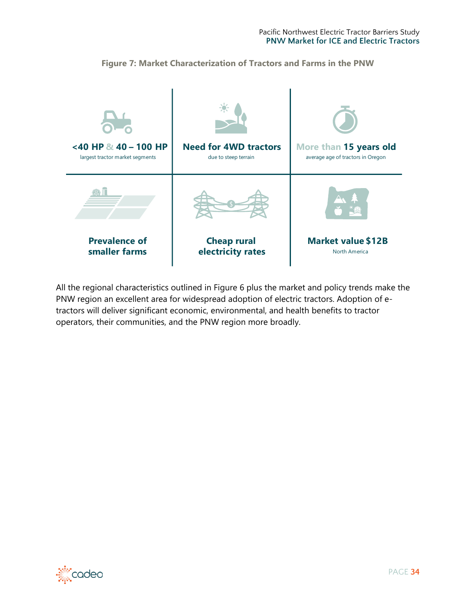

**Figure 7: Market Characterization of Tractors and Farms in the PNW**

All the regional characteristics outlined in Figure 6 plus the market and policy trends make the PNW region an excellent area for widespread adoption of electric tractors. Adoption of etractors will deliver significant economic, environmental, and health benefits to tractor operators, their communities, and the PNW region more broadly.

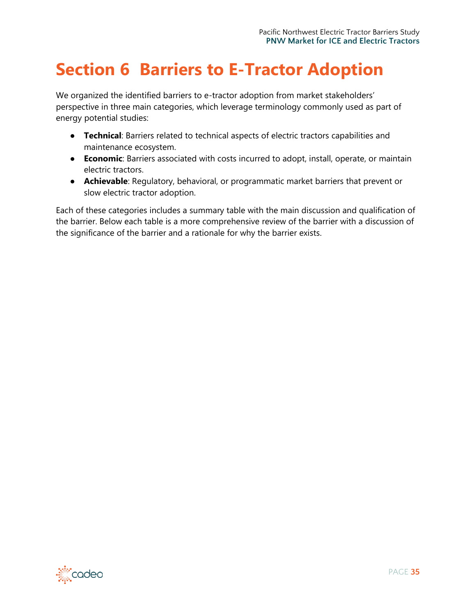# <span id="page-34-0"></span>**Section 6 Barriers to E-Tractor Adoption**

We organized the identified barriers to e-tractor adoption from market stakeholders' perspective in three main categories, which leverage terminology commonly used as part of energy potential studies:

- **Technical**: Barriers related to technical aspects of electric tractors capabilities and maintenance ecosystem.
- **Economic**: Barriers associated with costs incurred to adopt, install, operate, or maintain electric tractors.
- **Achievable**: Regulatory, behavioral, or programmatic market barriers that prevent or slow electric tractor adoption.

Each of these categories includes a summary table with the main discussion and qualification of the barrier. Below each table is a more comprehensive review of the barrier with a discussion of the significance of the barrier and a rationale for why the barrier exists.

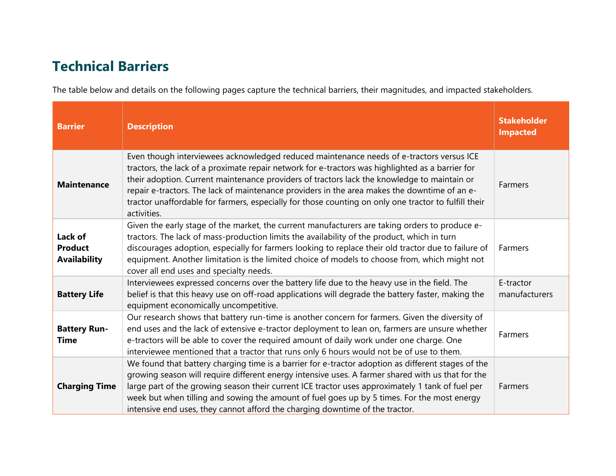# **Technical Barriers**

The table below and details on the following pages capture the technical barriers, their magnitudes, and impacted stakeholders.

<span id="page-35-0"></span>

| <b>Barrier</b>                                   | <b>Description</b>                                                                                                                                                                                                                                                                                                                                                                                                                                                                                                 | <b>Stakeholder</b><br><b>Impacted</b> |
|--------------------------------------------------|--------------------------------------------------------------------------------------------------------------------------------------------------------------------------------------------------------------------------------------------------------------------------------------------------------------------------------------------------------------------------------------------------------------------------------------------------------------------------------------------------------------------|---------------------------------------|
| <b>Maintenance</b>                               | Even though interviewees acknowledged reduced maintenance needs of e-tractors versus ICE<br>tractors, the lack of a proximate repair network for e-tractors was highlighted as a barrier for<br>their adoption. Current maintenance providers of tractors lack the knowledge to maintain or<br>repair e-tractors. The lack of maintenance providers in the area makes the downtime of an e-<br>tractor unaffordable for farmers, especially for those counting on only one tractor to fulfill their<br>activities. | Farmers                               |
| Lack of<br><b>Product</b><br><b>Availability</b> | Given the early stage of the market, the current manufacturers are taking orders to produce e-<br>tractors. The lack of mass-production limits the availability of the product, which in turn<br>discourages adoption, especially for farmers looking to replace their old tractor due to failure of<br>equipment. Another limitation is the limited choice of models to choose from, which might not<br>cover all end uses and specialty needs.                                                                   | Farmers                               |
| <b>Battery Life</b>                              | Interviewees expressed concerns over the battery life due to the heavy use in the field. The<br>belief is that this heavy use on off-road applications will degrade the battery faster, making the<br>equipment economically uncompetitive.                                                                                                                                                                                                                                                                        | E-tractor<br>manufacturers            |
| <b>Battery Run-</b><br><b>Time</b>               | Our research shows that battery run-time is another concern for farmers. Given the diversity of<br>end uses and the lack of extensive e-tractor deployment to lean on, farmers are unsure whether<br>e-tractors will be able to cover the required amount of daily work under one charge. One<br>interviewee mentioned that a tractor that runs only 6 hours would not be of use to them.                                                                                                                          | Farmers                               |
| <b>Charging Time</b>                             | We found that battery charging time is a barrier for e-tractor adoption as different stages of the<br>growing season will require different energy intensive uses. A farmer shared with us that for the<br>large part of the growing season their current ICE tractor uses approximately 1 tank of fuel per<br>week but when tilling and sowing the amount of fuel goes up by 5 times. For the most energy<br>intensive end uses, they cannot afford the charging downtime of the tractor.                         | Farmers                               |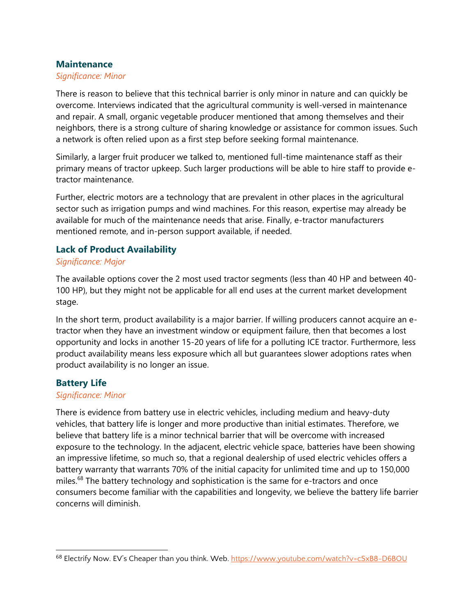#### **Maintenance**

#### *Significance: Minor*

There is reason to believe that this technical barrier is only minor in nature and can quickly be overcome. Interviews indicated that the agricultural community is well-versed in maintenance and repair. A small, organic vegetable producer mentioned that among themselves and their neighbors, there is a strong culture of sharing knowledge or assistance for common issues. Such a network is often relied upon as a first step before seeking formal maintenance.

Similarly, a larger fruit producer we talked to, mentioned full-time maintenance staff as their primary means of tractor upkeep. Such larger productions will be able to hire staff to provide etractor maintenance.

Further, electric motors are a technology that are prevalent in other places in the agricultural sector such as irrigation pumps and wind machines. For this reason, expertise may already be available for much of the maintenance needs that arise. Finally, e-tractor manufacturers mentioned remote, and in-person support available, if needed.

### **Lack of Product Availability**

#### *Significance: Major*

The available options cover the 2 most used tractor segments (less than 40 HP and between 40- 100 HP), but they might not be applicable for all end uses at the current market development stage.

In the short term, product availability is a major barrier. If willing producers cannot acquire an etractor when they have an investment window or equipment failure, then that becomes a lost opportunity and locks in another 15-20 years of life for a polluting ICE tractor. Furthermore, less product availability means less exposure which all but guarantees slower adoptions rates when product availability is no longer an issue.

### **Battery Life**

#### *Significance: Minor*

There is evidence from battery use in electric vehicles, including medium and heavy-duty vehicles, that battery life is longer and more productive than initial estimates. Therefore, we believe that battery life is a minor technical barrier that will be overcome with increased exposure to the technology. In the adjacent, electric vehicle space, batteries have been showing an impressive lifetime, so much so, that a regional dealership of used electric vehicles offers a battery warranty that warrants 70% of the initial capacity for unlimited time and up to 150,000 miles.<sup>68</sup> The battery technology and sophistication is the same for e-tractors and once consumers become familiar with the capabilities and longevity, we believe the battery life barrier concerns will diminish.

<sup>68</sup> Electrify Now. EV's Cheaper than you think. Web. <https://www.youtube.com/watch?v=cSxB8-D6BOU>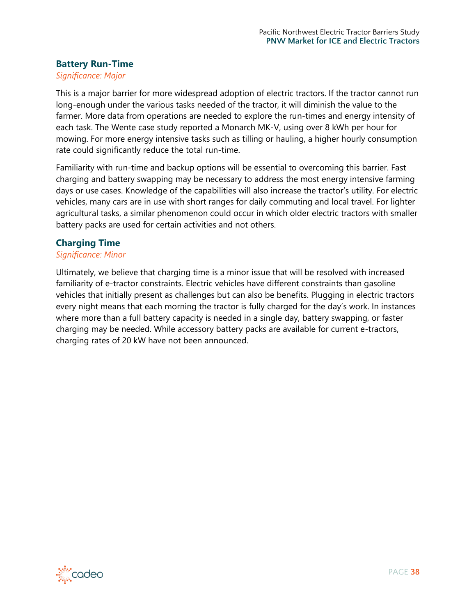### **Battery Run-Time**

#### *Significance: Major*

This is a major barrier for more widespread adoption of electric tractors. If the tractor cannot run long-enough under the various tasks needed of the tractor, it will diminish the value to the farmer. More data from operations are needed to explore the run-times and energy intensity of each task. The Wente case study reported a Monarch MK-V, using over 8 kWh per hour for mowing. For more energy intensive tasks such as tilling or hauling, a higher hourly consumption rate could significantly reduce the total run-time.

Familiarity with run-time and backup options will be essential to overcoming this barrier. Fast charging and battery swapping may be necessary to address the most energy intensive farming days or use cases. Knowledge of the capabilities will also increase the tractor's utility. For electric vehicles, many cars are in use with short ranges for daily commuting and local travel. For lighter agricultural tasks, a similar phenomenon could occur in which older electric tractors with smaller battery packs are used for certain activities and not others.

#### **Charging Time**

#### *Significance: Minor*

Ultimately, we believe that charging time is a minor issue that will be resolved with increased familiarity of e-tractor constraints. Electric vehicles have different constraints than gasoline vehicles that initially present as challenges but can also be benefits. Plugging in electric tractors every night means that each morning the tractor is fully charged for the day's work. In instances where more than a full battery capacity is needed in a single day, battery swapping, or faster charging may be needed. While accessory battery packs are available for current e-tractors, charging rates of 20 kW have not been announced.

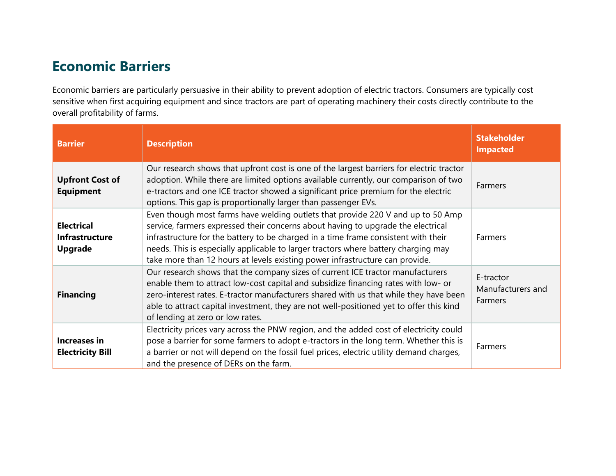# **Economic Barriers**

Economic barriers are particularly persuasive in their ability to prevent adoption of electric tractors. Consumers are typically cost sensitive when first acquiring equipment and since tractors are part of operating machinery their costs directly contribute to the overall profitability of farms.

<span id="page-38-0"></span>

| <b>Barrier</b>                                               | <b>Description</b>                                                                                                                                                                                                                                                                                                                                                                                                              | <b>Stakeholder</b><br><b>Impacted</b>     |
|--------------------------------------------------------------|---------------------------------------------------------------------------------------------------------------------------------------------------------------------------------------------------------------------------------------------------------------------------------------------------------------------------------------------------------------------------------------------------------------------------------|-------------------------------------------|
| <b>Upfront Cost of</b><br><b>Equipment</b>                   | Our research shows that upfront cost is one of the largest barriers for electric tractor<br>adoption. While there are limited options available currently, our comparison of two<br>e-tractors and one ICE tractor showed a significant price premium for the electric<br>options. This gap is proportionally larger than passenger EVs.                                                                                        | Farmers                                   |
| <b>Electrical</b><br><b>Infrastructure</b><br><b>Upgrade</b> | Even though most farms have welding outlets that provide 220 V and up to 50 Amp<br>service, farmers expressed their concerns about having to upgrade the electrical<br>infrastructure for the battery to be charged in a time frame consistent with their<br>needs. This is especially applicable to larger tractors where battery charging may<br>take more than 12 hours at levels existing power infrastructure can provide. | Farmers                                   |
| <b>Financing</b>                                             | Our research shows that the company sizes of current ICE tractor manufacturers<br>enable them to attract low-cost capital and subsidize financing rates with low- or<br>zero-interest rates. E-tractor manufacturers shared with us that while they have been<br>able to attract capital investment, they are not well-positioned yet to offer this kind<br>of lending at zero or low rates.                                    | E-tractor<br>Manufacturers and<br>Farmers |
| Increases in<br><b>Electricity Bill</b>                      | Electricity prices vary across the PNW region, and the added cost of electricity could<br>pose a barrier for some farmers to adopt e-tractors in the long term. Whether this is<br>a barrier or not will depend on the fossil fuel prices, electric utility demand charges,<br>and the presence of DERs on the farm.                                                                                                            | Farmers                                   |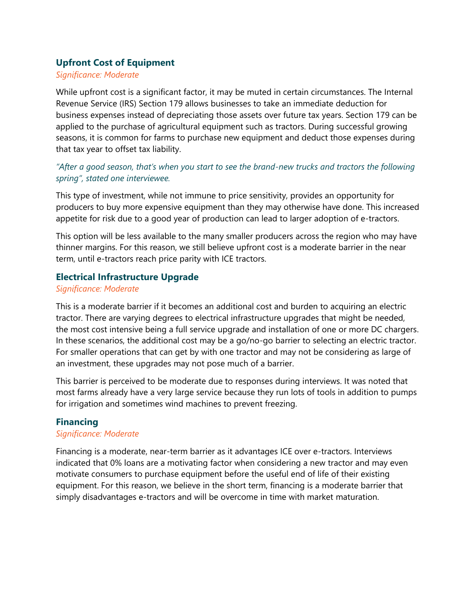## **Upfront Cost of Equipment**

#### *Significance: Moderate*

While upfront cost is a significant factor, it may be muted in certain circumstances. The Internal Revenue Service (IRS) Section 179 allows businesses to take an immediate deduction for business expenses instead of depreciating those assets over future tax years. Section 179 can be applied to the purchase of agricultural equipment such as tractors. During successful growing seasons, it is common for farms to purchase new equipment and deduct those expenses during that tax year to offset tax liability.

## *"After a good season, that's when you start to see the brand-new trucks and tractors the following spring", stated one interviewee.*

This type of investment, while not immune to price sensitivity, provides an opportunity for producers to buy more expensive equipment than they may otherwise have done. This increased appetite for risk due to a good year of production can lead to larger adoption of e-tractors.

This option will be less available to the many smaller producers across the region who may have thinner margins. For this reason, we still believe upfront cost is a moderate barrier in the near term, until e-tractors reach price parity with ICE tractors.

### **Electrical Infrastructure Upgrade**

#### *Significance: Moderate*

This is a moderate barrier if it becomes an additional cost and burden to acquiring an electric tractor. There are varying degrees to electrical infrastructure upgrades that might be needed, the most cost intensive being a full service upgrade and installation of one or more DC chargers. In these scenarios, the additional cost may be a go/no-go barrier to selecting an electric tractor. For smaller operations that can get by with one tractor and may not be considering as large of an investment, these upgrades may not pose much of a barrier.

This barrier is perceived to be moderate due to responses during interviews. It was noted that most farms already have a very large service because they run lots of tools in addition to pumps for irrigation and sometimes wind machines to prevent freezing.

### **Financing**

### *Significance: Moderate*

Financing is a moderate, near-term barrier as it advantages ICE over e-tractors. Interviews indicated that 0% loans are a motivating factor when considering a new tractor and may even motivate consumers to purchase equipment before the useful end of life of their existing equipment. For this reason, we believe in the short term, financing is a moderate barrier that simply disadvantages e-tractors and will be overcome in time with market maturation.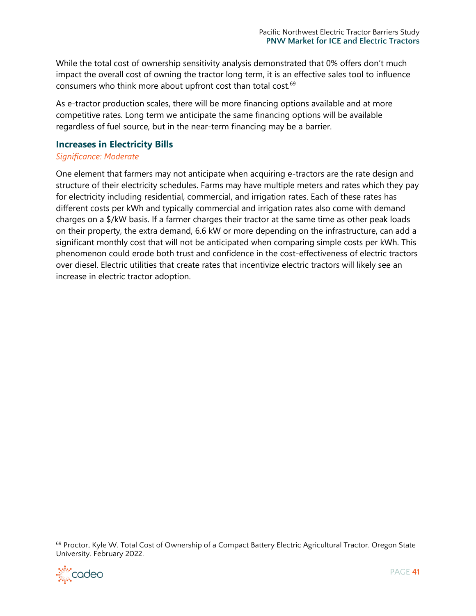While the total cost of ownership sensitivity analysis demonstrated that 0% offers don't much impact the overall cost of owning the tractor long term, it is an effective sales tool to influence consumers who think more about upfront cost than total cost.<sup>69</sup>

As e-tractor production scales, there will be more financing options available and at more competitive rates. Long term we anticipate the same financing options will be available regardless of fuel source, but in the near-term financing may be a barrier.

#### **Increases in Electricity Bills**

#### *Significance: Moderate*

One element that farmers may not anticipate when acquiring e-tractors are the rate design and structure of their electricity schedules. Farms may have multiple meters and rates which they pay for electricity including residential, commercial, and irrigation rates. Each of these rates has different costs per kWh and typically commercial and irrigation rates also come with demand charges on a \$/kW basis. If a farmer charges their tractor at the same time as other peak loads on their property, the extra demand, 6.6 kW or more depending on the infrastructure, can add a significant monthly cost that will not be anticipated when comparing simple costs per kWh. This phenomenon could erode both trust and confidence in the cost-effectiveness of electric tractors over diesel. Electric utilities that create rates that incentivize electric tractors will likely see an increase in electric tractor adoption.

<sup>&</sup>lt;sup>69</sup> Proctor, Kyle W. Total Cost of Ownership of a Compact Battery Electric Agricultural Tractor. Oregon State University. February 2022.

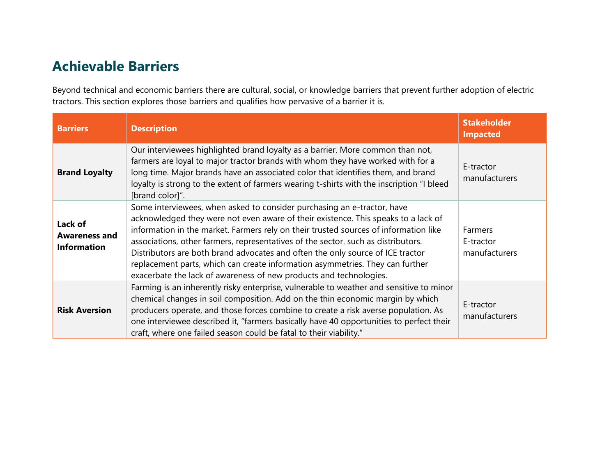# **Achievable Barriers**

Beyond technical and economic barriers there are cultural, social, or knowledge barriers that prevent further adoption of electric tractors. This section explores those barriers and qualifies how pervasive of a barrier it is.

<span id="page-41-0"></span>

| <b>Barriers</b>                                       | <b>Description</b>                                                                                                                                                                                                                                                                                                                                                                                                                                                                                                                                                                  | <b>Stakeholder</b><br><b>Impacted</b>        |
|-------------------------------------------------------|-------------------------------------------------------------------------------------------------------------------------------------------------------------------------------------------------------------------------------------------------------------------------------------------------------------------------------------------------------------------------------------------------------------------------------------------------------------------------------------------------------------------------------------------------------------------------------------|----------------------------------------------|
| <b>Brand Loyalty</b>                                  | Our interviewees highlighted brand loyalty as a barrier. More common than not,<br>farmers are loyal to major tractor brands with whom they have worked with for a<br>long time. Major brands have an associated color that identifies them, and brand<br>loyalty is strong to the extent of farmers wearing t-shirts with the inscription "I bleed<br>[brand color]".                                                                                                                                                                                                               | E-tractor<br>manufacturers                   |
| Lack of<br><b>Awareness and</b><br><b>Information</b> | Some interviewees, when asked to consider purchasing an e-tractor, have<br>acknowledged they were not even aware of their existence. This speaks to a lack of<br>information in the market. Farmers rely on their trusted sources of information like<br>associations, other farmers, representatives of the sector, such as distributors.<br>Distributors are both brand advocates and often the only source of ICE tractor<br>replacement parts, which can create information asymmetries. They can further<br>exacerbate the lack of awareness of new products and technologies. | <b>Farmers</b><br>E-tractor<br>manufacturers |
| <b>Risk Aversion</b>                                  | Farming is an inherently risky enterprise, vulnerable to weather and sensitive to minor<br>chemical changes in soil composition. Add on the thin economic margin by which<br>producers operate, and those forces combine to create a risk averse population. As<br>one interviewee described it, "farmers basically have 40 opportunities to perfect their<br>craft, where one failed season could be fatal to their viability."                                                                                                                                                    | E-tractor<br>manufacturers                   |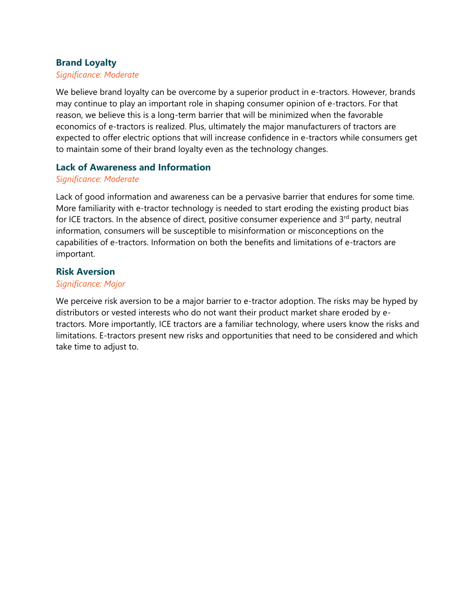### **Brand Loyalty**

#### *Significance: Moderate*

We believe brand loyalty can be overcome by a superior product in e-tractors. However, brands may continue to play an important role in shaping consumer opinion of e-tractors. For that reason, we believe this is a long-term barrier that will be minimized when the favorable economics of e-tractors is realized. Plus, ultimately the major manufacturers of tractors are expected to offer electric options that will increase confidence in e-tractors while consumers get to maintain some of their brand loyalty even as the technology changes.

#### **Lack of Awareness and Information**

#### *Significance: Moderate*

Lack of good information and awareness can be a pervasive barrier that endures for some time. More familiarity with e-tractor technology is needed to start eroding the existing product bias for ICE tractors. In the absence of direct, positive consumer experience and  $3<sup>rd</sup>$  party, neutral information, consumers will be susceptible to misinformation or misconceptions on the capabilities of e-tractors. Information on both the benefits and limitations of e-tractors are important.

#### **Risk Aversion**

#### *Significance: Major*

We perceive risk aversion to be a major barrier to e-tractor adoption. The risks may be hyped by distributors or vested interests who do not want their product market share eroded by etractors. More importantly, ICE tractors are a familiar technology, where users know the risks and limitations. E-tractors present new risks and opportunities that need to be considered and which take time to adjust to.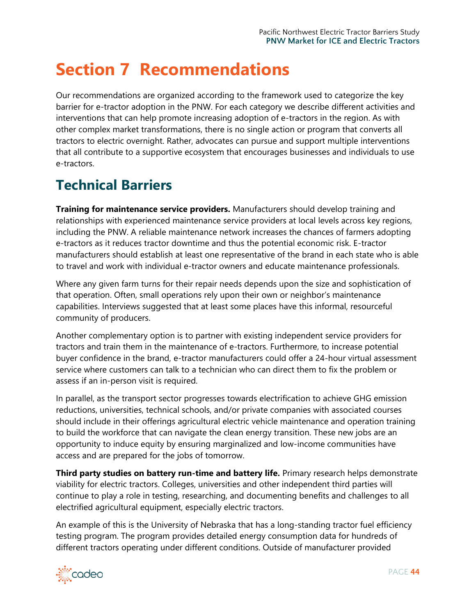# <span id="page-43-0"></span>**Section 7 Recommendations**

Our recommendations are organized according to the framework used to categorize the key barrier for e-tractor adoption in the PNW. For each category we describe different activities and interventions that can help promote increasing adoption of e-tractors in the region. As with other complex market transformations, there is no single action or program that converts all tractors to electric overnight. Rather, advocates can pursue and support multiple interventions that all contribute to a supportive ecosystem that encourages businesses and individuals to use e-tractors.

# <span id="page-43-1"></span>**Technical Barriers**

**Training for maintenance service providers.** Manufacturers should develop training and relationships with experienced maintenance service providers at local levels across key regions, including the PNW. A reliable maintenance network increases the chances of farmers adopting e-tractors as it reduces tractor downtime and thus the potential economic risk. E-tractor manufacturers should establish at least one representative of the brand in each state who is able to travel and work with individual e-tractor owners and educate maintenance professionals.

Where any given farm turns for their repair needs depends upon the size and sophistication of that operation. Often, small operations rely upon their own or neighbor's maintenance capabilities. Interviews suggested that at least some places have this informal, resourceful community of producers.

Another complementary option is to partner with existing independent service providers for tractors and train them in the maintenance of e-tractors. Furthermore, to increase potential buyer confidence in the brand, e-tractor manufacturers could offer a 24-hour virtual assessment service where customers can talk to a technician who can direct them to fix the problem or assess if an in-person visit is required.

In parallel, as the transport sector progresses towards electrification to achieve GHG emission reductions, universities, technical schools, and/or private companies with associated courses should include in their offerings agricultural electric vehicle maintenance and operation training to build the workforce that can navigate the clean energy transition. These new jobs are an opportunity to induce equity by ensuring marginalized and low-income communities have access and are prepared for the jobs of tomorrow.

**Third party studies on battery run-time and battery life.** Primary research helps demonstrate viability for electric tractors. Colleges, universities and other independent third parties will continue to play a role in testing, researching, and documenting benefits and challenges to all electrified agricultural equipment, especially electric tractors.

An example of this is the University of Nebraska that has a long-standing tractor fuel efficiency testing program. The program provides detailed energy consumption data for hundreds of different tractors operating under different conditions. Outside of manufacturer provided

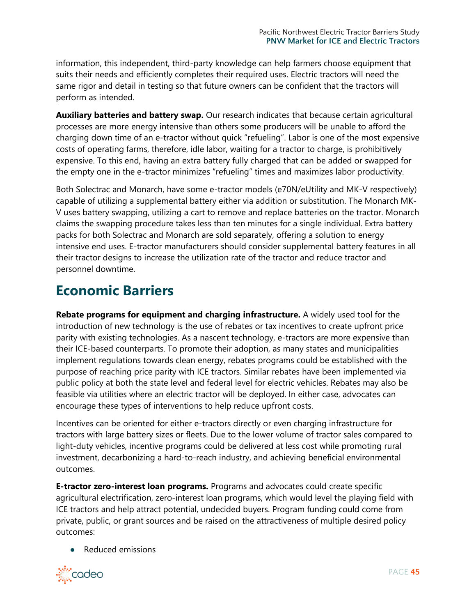information, this independent, third-party knowledge can help farmers choose equipment that suits their needs and efficiently completes their required uses. Electric tractors will need the same rigor and detail in testing so that future owners can be confident that the tractors will perform as intended.

**Auxiliary batteries and battery swap.** Our research indicates that because certain agricultural processes are more energy intensive than others some producers will be unable to afford the charging down time of an e-tractor without quick "refueling". Labor is one of the most expensive costs of operating farms, therefore, idle labor, waiting for a tractor to charge, is prohibitively expensive. To this end, having an extra battery fully charged that can be added or swapped for the empty one in the e-tractor minimizes "refueling" times and maximizes labor productivity.

Both Solectrac and Monarch, have some e-tractor models (e70N/eUtility and MK-V respectively) capable of utilizing a supplemental battery either via addition or substitution. The Monarch MK-V uses battery swapping, utilizing a cart to remove and replace batteries on the tractor. Monarch claims the swapping procedure takes less than ten minutes for a single individual. Extra battery packs for both Solectrac and Monarch are sold separately, offering a solution to energy intensive end uses. E-tractor manufacturers should consider supplemental battery features in all their tractor designs to increase the utilization rate of the tractor and reduce tractor and personnel downtime.

# <span id="page-44-0"></span>**Economic Barriers**

**Rebate programs for equipment and charging infrastructure.** A widely used tool for the introduction of new technology is the use of rebates or tax incentives to create upfront price parity with existing technologies. As a nascent technology, e-tractors are more expensive than their ICE-based counterparts. To promote their adoption, as many states and municipalities implement regulations towards clean energy, rebates programs could be established with the purpose of reaching price parity with ICE tractors. Similar rebates have been implemented via public policy at both the state level and federal level for electric vehicles. Rebates may also be feasible via utilities where an electric tractor will be deployed. In either case, advocates can encourage these types of interventions to help reduce upfront costs.

Incentives can be oriented for either e-tractors directly or even charging infrastructure for tractors with large battery sizes or fleets. Due to the lower volume of tractor sales compared to light-duty vehicles, incentive programs could be delivered at less cost while promoting rural investment, decarbonizing a hard-to-reach industry, and achieving beneficial environmental outcomes.

**E-tractor zero-interest loan programs.** Programs and advocates could create specific agricultural electrification, zero-interest loan programs, which would level the playing field with ICE tractors and help attract potential, undecided buyers. Program funding could come from private, public, or grant sources and be raised on the attractiveness of multiple desired policy outcomes:

● Reduced emissions

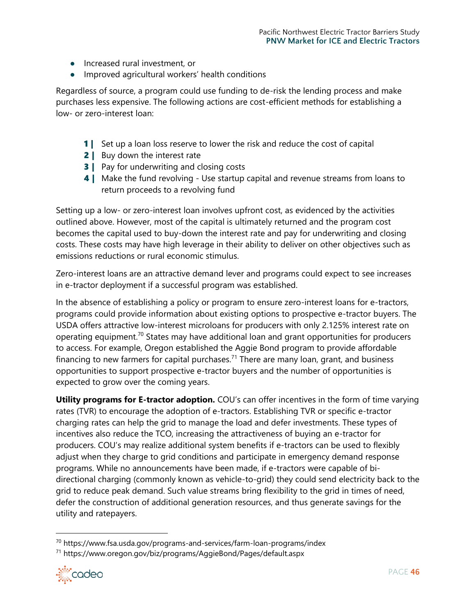- Increased rural investment, or
- Improved agricultural workers' health conditions

Regardless of source, a program could use funding to de-risk the lending process and make purchases less expensive. The following actions are cost-efficient methods for establishing a low- or zero-interest loan:

- 1 | Set up a loan loss reserve to lower the risk and reduce the cost of capital
- **2** | Buy down the interest rate
- **3** | Pay for underwriting and closing costs
- **4** | Make the fund revolving Use startup capital and revenue streams from loans to return proceeds to a revolving fund

Setting up a low- or zero-interest loan involves upfront cost, as evidenced by the activities outlined above. However, most of the capital is ultimately returned and the program cost becomes the capital used to buy-down the interest rate and pay for underwriting and closing costs. These costs may have high leverage in their ability to deliver on other objectives such as emissions reductions or rural economic stimulus.

Zero-interest loans are an attractive demand lever and programs could expect to see increases in e-tractor deployment if a successful program was established.

In the absence of establishing a policy or program to ensure zero-interest loans for e-tractors, programs could provide information about existing options to prospective e-tractor buyers. The USDA offers attractive low-interest microloans for producers with only 2.125% interest rate on operating equipment.<sup>70</sup> States may have additional loan and grant opportunities for producers to access. For example, Oregon established the Aggie Bond program to provide affordable financing to new farmers for capital purchases.<sup>71</sup> There are many loan, grant, and business opportunities to support prospective e-tractor buyers and the number of opportunities is expected to grow over the coming years.

**Utility programs for E-tractor adoption.** COU's can offer incentives in the form of time varying rates (TVR) to encourage the adoption of e-tractors. Establishing TVR or specific e-tractor charging rates can help the grid to manage the load and defer investments. These types of incentives also reduce the TCO, increasing the attractiveness of buying an e-tractor for producers. COU's may realize additional system benefits if e-tractors can be used to flexibly adjust when they charge to grid conditions and participate in emergency demand response programs. While no announcements have been made, if e-tractors were capable of bidirectional charging (commonly known as vehicle-to-grid) they could send electricity back to the grid to reduce peak demand. Such value streams bring flexibility to the grid in times of need, defer the construction of additional generation resources, and thus generate savings for the utility and ratepayers.

<sup>71</sup> https://www.oregon.gov/biz/programs/AggieBond/Pages/default.aspx



<sup>70</sup> https://www.fsa.usda.gov/programs-and-services/farm-loan-programs/index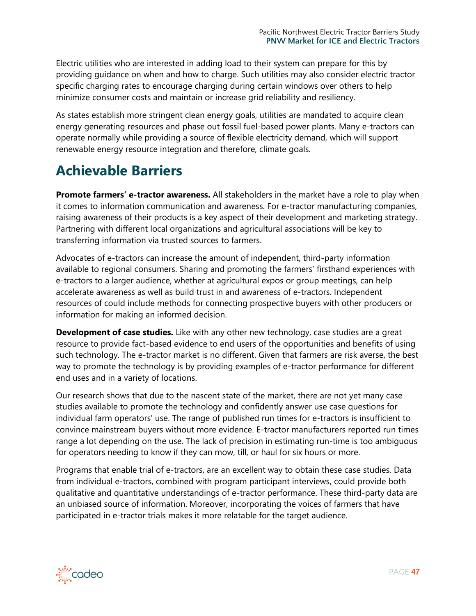Electric utilities who are interested in adding load to their system can prepare for this by providing guidance on when and how to charge. Such utilities may also consider electric tractor specific charging rates to encourage charging during certain windows over others to help minimize consumer costs and maintain or increase grid reliability and resiliency.

As states establish more stringent clean energy goals, utilities are mandated to acquire clean energy generating resources and phase out fossil fuel-based power plants. Many e-tractors can operate normally while providing a source of flexible electricity demand, which will support renewable energy resource integration and therefore, climate goals.

# <span id="page-46-0"></span>**Achievable Barriers**

**Promote farmers' e-tractor awareness.** All stakeholders in the market have a role to play when it comes to information communication and awareness. For e-tractor manufacturing companies, raising awareness of their products is a key aspect of their development and marketing strategy. Partnering with different local organizations and agricultural associations will be key to transferring information via trusted sources to farmers.

Advocates of e-tractors can increase the amount of independent, third-party information available to regional consumers. Sharing and promoting the farmers' firsthand experiences with e-tractors to a larger audience, whether at agricultural expos or group meetings, can help accelerate awareness as well as build trust in and awareness of e-tractors. Independent resources of could include methods for connecting prospective buyers with other producers or information for making an informed decision.

**Development of case studies.** Like with any other new technology, case studies are a great resource to provide fact-based evidence to end users of the opportunities and benefits of using such technology. The e-tractor market is no different. Given that farmers are risk averse, the best way to promote the technology is by providing examples of e-tractor performance for different end uses and in a variety of locations.

Our research shows that due to the nascent state of the market, there are not yet many case studies available to promote the technology and confidently answer use case questions for individual farm operators' use. The range of published run times for e-tractors is insufficient to convince mainstream buyers without more evidence. E-tractor manufacturers reported run times range a lot depending on the use. The lack of precision in estimating run-time is too ambiguous for operators needing to know if they can mow, till, or haul for six hours or more.

Programs that enable trial of e-tractors, are an excellent way to obtain these case studies. Data from individual e-tractors, combined with program participant interviews, could provide both qualitative and quantitative understandings of e-tractor performance. These third-party data are an unbiased source of information. Moreover, incorporating the voices of farmers that have participated in e-tractor trials makes it more relatable for the target audience.

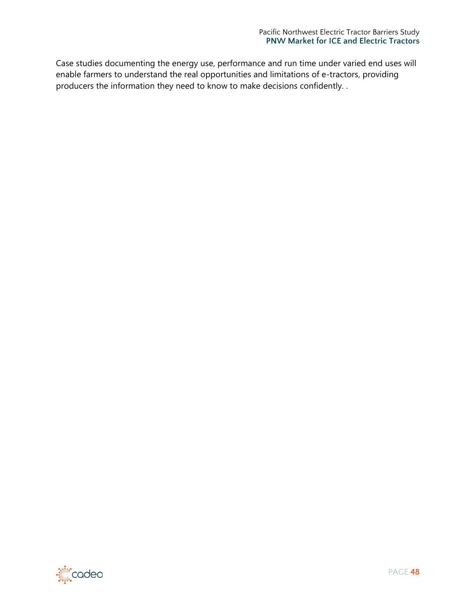Case studies documenting the energy use, performance and run time under varied end uses will enable farmers to understand the real opportunities and limitations of e-tractors, providing producers the information they need to know to make decisions confidently. .



PAGE **48**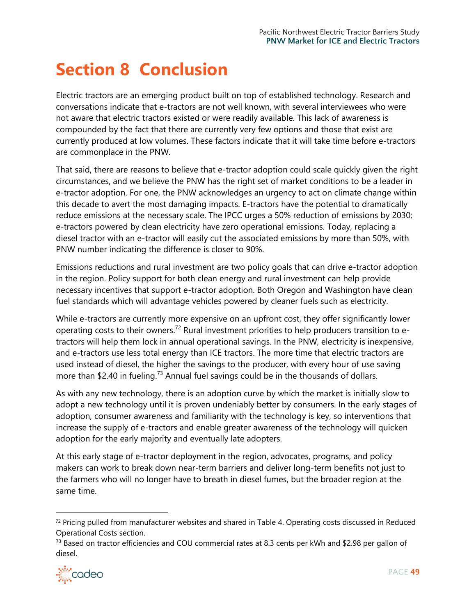# <span id="page-48-0"></span>**Section 8 Conclusion**

Electric tractors are an emerging product built on top of established technology. Research and conversations indicate that e-tractors are not well known, with several interviewees who were not aware that electric tractors existed or were readily available. This lack of awareness is compounded by the fact that there are currently very few options and those that exist are currently produced at low volumes. These factors indicate that it will take time before e-tractors are commonplace in the PNW.

That said, there are reasons to believe that e-tractor adoption could scale quickly given the right circumstances, and we believe the PNW has the right set of market conditions to be a leader in e-tractor adoption. For one, the PNW acknowledges an urgency to act on climate change within this decade to avert the most damaging impacts. E-tractors have the potential to dramatically reduce emissions at the necessary scale. The IPCC urges a 50% reduction of emissions by 2030; e-tractors powered by clean electricity have zero operational emissions. Today, replacing a diesel tractor with an e-tractor will easily cut the associated emissions by more than 50%, with PNW number indicating the difference is closer to 90%.

Emissions reductions and rural investment are two policy goals that can drive e-tractor adoption in the region. Policy support for both clean energy and rural investment can help provide necessary incentives that support e-tractor adoption. Both Oregon and Washington have clean fuel standards which will advantage vehicles powered by cleaner fuels such as electricity.

While e-tractors are currently more expensive on an upfront cost, they offer significantly lower operating costs to their owners.<sup>72</sup> Rural investment priorities to help producers transition to etractors will help them lock in annual operational savings. In the PNW, electricity is inexpensive, and e-tractors use less total energy than ICE tractors. The more time that electric tractors are used instead of diesel, the higher the savings to the producer, with every hour of use saving more than \$2.40 in fueling.<sup>73</sup> Annual fuel savings could be in the thousands of dollars.

As with any new technology, there is an adoption curve by which the market is initially slow to adopt a new technology until it is proven undeniably better by consumers. In the early stages of adoption, consumer awareness and familiarity with the technology is key, so interventions that increase the supply of e-tractors and enable greater awareness of the technology will quicken adoption for the early majority and eventually late adopters.

At this early stage of e-tractor deployment in the region, advocates, programs, and policy makers can work to break down near-term barriers and deliver long-term benefits not just to the farmers who will no longer have to breath in diesel fumes, but the broader region at the same time.

<sup>&</sup>lt;sup>73</sup> Based on tractor efficiencies and COU commercial rates at 8.3 cents per kWh and \$2.98 per gallon of diesel.



<sup>72</sup> Pricing pulled from manufacturer websites and shared in [Table 4.](#page-17-0) Operating costs discussed in Reduced [Operational Costs](#page-22-0) section.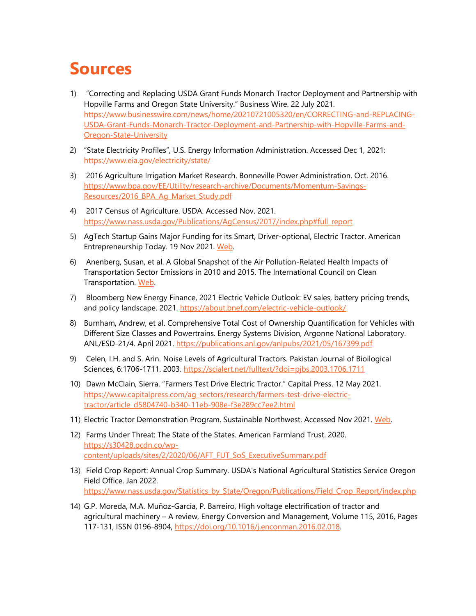# <span id="page-49-0"></span>**Sources**

- 1) "Correcting and Replacing USDA Grant Funds Monarch Tractor Deployment and Partnership with Hopville Farms and Oregon State University." Business Wire. 22 July 2021. [https://www.businesswire.com/news/home/20210721005320/en/CORRECTING-and-REPLACING-](https://www.businesswire.com/news/home/20210721005320/en/CORRECTING-and-REPLACING-USDA-Grant-Funds-Monarch-Tractor-Deployment-and-Partnership-with-Hopville-Farms-and-Oregon-State-University)[USDA-Grant-Funds-Monarch-Tractor-Deployment-and-Partnership-with-Hopville-Farms-and-](https://www.businesswire.com/news/home/20210721005320/en/CORRECTING-and-REPLACING-USDA-Grant-Funds-Monarch-Tractor-Deployment-and-Partnership-with-Hopville-Farms-and-Oregon-State-University)[Oregon-State-University](https://www.businesswire.com/news/home/20210721005320/en/CORRECTING-and-REPLACING-USDA-Grant-Funds-Monarch-Tractor-Deployment-and-Partnership-with-Hopville-Farms-and-Oregon-State-University)
- 2) "State Electricity Profiles", U.S. Energy Information Administration. Accessed Dec 1, 2021: <https://www.eia.gov/electricity/state/>
- 3) 2016 Agriculture Irrigation Market Research. Bonneville Power Administration. Oct. 2016. [https://www.bpa.gov/EE/Utility/research-archive/Documents/Momentum-Savings-](https://www.bpa.gov/EE/Utility/research-archive/Documents/Momentum-Savings-Resources/2016_BPA_Ag_Market_Study.pdf)[Resources/2016\\_BPA\\_Ag\\_Market\\_Study.pdf](https://www.bpa.gov/EE/Utility/research-archive/Documents/Momentum-Savings-Resources/2016_BPA_Ag_Market_Study.pdf)
- 4) 2017 Census of Agriculture. USDA. Accessed Nov. 2021. [https://www.nass.usda.gov/Publications/AgCensus/2017/index.php#full\\_report](https://www.nass.usda.gov/Publications/AgCensus/2017/index.php#full_report)
- 5) AgTech Startup Gains Major Funding for its Smart, Driver-optional, Electric Tractor. American Entrepreneurship Today. 19 Nov 2021. [Web.](https://www.americanentrepreneurship.com/startup-news/agtech-startup-gains-major-funding-smart-driver-optional-electric-tractor)
- 6) Anenberg, Susan, et al. A Global Snapshot of the Air Pollution-Related Health Impacts of Transportation Sector Emissions in 2010 and 2015. The International Council on Clean Transportation. [Web.](https://theicct.org/publications/health-impacts-transport-emissions-2010-2015)
- 7) Bloomberg New Energy Finance, 2021 Electric Vehicle Outlook: EV sales, battery pricing trends, and policy landscape. 2021.<https://about.bnef.com/electric-vehicle-outlook/>
- 8) Burnham, Andrew, et al. Comprehensive Total Cost of Ownership Quantification for Vehicles with Different Size Classes and Powertrains. Energy Systems Division, Argonne National Laboratory. ANL/ESD-21/4. April 2021[. https://publications.anl.gov/anlpubs/2021/05/167399.pdf](https://publications.anl.gov/anlpubs/2021/05/167399.pdf)
- 9) Celen, I.H. and S. Arin. Noise Levels of Agricultural Tractors. Pakistan Journal of Bioilogical Sciences, 6:1706-1711. 2003.<https://scialert.net/fulltext/?doi=pjbs.2003.1706.1711>
- 10) Dawn McClain, Sierra. "Farmers Test Drive Electric Tractor." Capital Press. 12 May 2021. [https://www.capitalpress.com/ag\\_sectors/research/farmers-test-drive-electric](https://www.capitalpress.com/ag_sectors/research/farmers-test-drive-electric-tractor/article_d5804740-b340-11eb-908e-f3e289cc7ee2.html)[tractor/article\\_d5804740-b340-11eb-908e-f3e289cc7ee2.html](https://www.capitalpress.com/ag_sectors/research/farmers-test-drive-electric-tractor/article_d5804740-b340-11eb-908e-f3e289cc7ee2.html)
- 11) Electric Tractor Demonstration Program. Sustainable Northwest. Accessed Nov 2021. Web.
- 12) Farms Under Threat: The State of the States. American Farmland Trust. 2020. [https://s30428.pcdn.co/wp](https://s30428.pcdn.co/wp-content/uploads/sites/2/2020/06/AFT_FUT_SoS_ExecutiveSummary.pdf)[content/uploads/sites/2/2020/06/AFT\\_FUT\\_SoS\\_ExecutiveSummary.pdf](https://s30428.pcdn.co/wp-content/uploads/sites/2/2020/06/AFT_FUT_SoS_ExecutiveSummary.pdf)
- 13) Field Crop Report: Annual Crop Summary. USDA's National Agricultural Statistics Service Oregon Field Office. Jan 2022. [https://www.nass.usda.gov/Statistics\\_by\\_State/Oregon/Publications/Field\\_Crop\\_Report/index.php](https://www.nass.usda.gov/Statistics_by_State/Oregon/Publications/Field_Crop_Report/index.php)
- 14) G.P. Moreda, M.A. Muñoz-García, P. Barreiro, High voltage electrification of tractor and agricultural machinery – A review, Energy Conversion and Management, Volume 115, 2016, Pages 117-131, ISSN 0196-8904, [https://doi.org/10.1016/j.enconman.2016.02.018.](https://doi.org/10.1016/j.enconman.2016.02.018)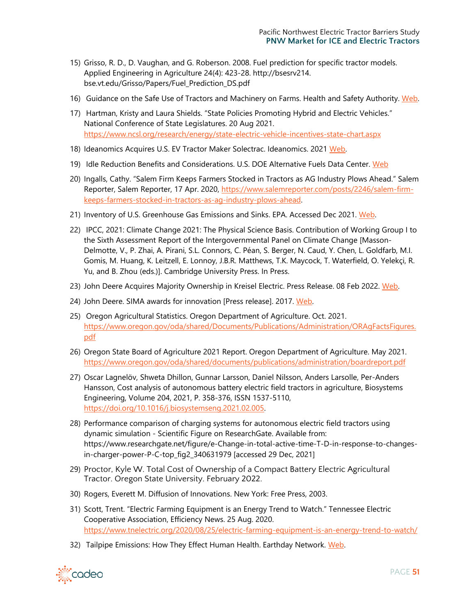- 15) Grisso, R. D., D. Vaughan, and G. Roberson. 2008. Fuel prediction for specific tractor models. Applied Engineering in Agriculture 24(4): 423-28. http://bsesrv214. bse.vt.edu/Grisso/Papers/Fuel\_Prediction\_DS.pdf
- 16) Guidance on the Safe Use of Tractors and Machinery on Farms. Health and Safety Authority. [Web.](https://www.hsa.ie/eng/Publications_and_Forms/Publications/Agriculture_and_Forestry/Guidance_on_the_Safe_Use_of_Tractors_and_Machinery_on_Farms.pdf)
- 17) Hartman, Kristy and Laura Shields. "State Policies Promoting Hybrid and Electric Vehicles." National Conference of State Legislatures. 20 Aug 2021. <https://www.ncsl.org/research/energy/state-electric-vehicle-incentives-state-chart.aspx>
- 18) Ideanomics Acquires U.S. EV Tractor Maker Solectrac. Ideanomics. 2021 [Web.](https://investors.ideanomics.com/2021-06-14-Ideanomics-Acquires-U-S-EV-Tractor-Maker-Solectrac)
- 19) Idle Reduction Benefits and Considerations. U.S. DOE Alternative Fuels Data Center. [Web](https://afdc.energy.gov/conserve/idle_reduction_benefits.html)
- 20) Ingalls, Cathy. "Salem Firm Keeps Farmers Stocked in Tractors as AG Industry Plows Ahead." Salem Reporter, Salem Reporter, 17 Apr. 2020, [https://www.salemreporter.com/posts/2246/salem-firm](https://www.salemreporter.com/posts/2246/salem-firm-keeps-farmers-stocked-in-tractors-as-ag-industry-plows-ahead)[keeps-farmers-stocked-in-tractors-as-ag-industry-plows-ahead.](https://www.salemreporter.com/posts/2246/salem-firm-keeps-farmers-stocked-in-tractors-as-ag-industry-plows-ahead)
- 21) Inventory of U.S. Greenhouse Gas Emissions and Sinks. EPA. Accessed Dec 2021. [Web.](https://www.epa.gov/ghgemissions/inventory-us-greenhouse-gas-emissions-and-sinks)
- 22) IPCC, 2021: Climate Change 2021: The Physical Science Basis. Contribution of Working Group I to the Sixth Assessment Report of the Intergovernmental Panel on Climate Change [Masson-Delmotte, V., P. Zhai, A. Pirani, S.L. Connors, C. Péan, S. Berger, N. Caud, Y. Chen, L. Goldfarb, M.I. Gomis, M. Huang, K. Leitzell, E. Lonnoy, J.B.R. Matthews, T.K. Maycock, T. Waterfield, O. Yelekçi, R. Yu, and B. Zhou (eds.)]. Cambridge University Press. In Press.
- 23) John Deere Acquires Majority Ownership in Kreisel Electric. Press Release. 08 Feb 2022. [Web.](https://www.deere.com/en/news/all-news/kreisel-electric-final-approval/)
- 24) John Deere. SIMA awards for innovation [Press release]. 2017. [Web.](https://www.deere.co.uk/en/our-company/news-and-media/press-releases/2017/feb/sima-awards-forinnovation.html.)
- 25) Oregon Agricultural Statistics. Oregon Department of Agriculture. Oct. 2021. [https://www.oregon.gov/oda/shared/Documents/Publications/Administration/ORAgFactsFigures.](https://www.oregon.gov/oda/shared/Documents/Publications/Administration/ORAgFactsFigures.pdf) [pdf](https://www.oregon.gov/oda/shared/Documents/Publications/Administration/ORAgFactsFigures.pdf)
- 26) Oregon State Board of Agriculture 2021 Report. Oregon Department of Agriculture. May 2021. <https://www.oregon.gov/oda/shared/documents/publications/administration/boardreport.pdf>
- 27) Oscar Lagnelöv, Shweta Dhillon, Gunnar Larsson, Daniel Nilsson, Anders Larsolle, Per-Anders Hansson, Cost analysis of autonomous battery electric field tractors in agriculture, Biosystems Engineering, Volume 204, 2021, P. 358-376, ISSN 1537-5110, [https://doi.org/10.1016/j.biosystemseng.2021.02.005.](https://doi.org/10.1016/j.biosystemseng.2021.02.005)
- 28) Performance comparison of charging systems for autonomous electric field tractors using dynamic simulation - Scientific Figure on ResearchGate. Available from: https://www.researchgate.net/figure/e-Change-in-total-active-time-T-D-in-response-to-changesin-charger-power-P-C-top\_fig2\_340631979 [accessed 29 Dec, 2021]
- 29) Proctor, Kyle W. Total Cost of Ownership of a Compact Battery Electric Agricultural Tractor. Oregon State University. February 2022.
- 30) Rogers, Everett M. Diffusion of Innovations. New York: Free Press, 2003.
- 31) Scott, Trent. "Electric Farming Equipment is an Energy Trend to Watch." Tennessee Electric Cooperative Association, Efficiency News. 25 Aug. 2020. <https://www.tnelectric.org/2020/08/25/electric-farming-equipment-is-an-energy-trend-to-watch/>
- 32) Tailpipe Emissions: How They Effect Human Health. Earthday Network. Web.